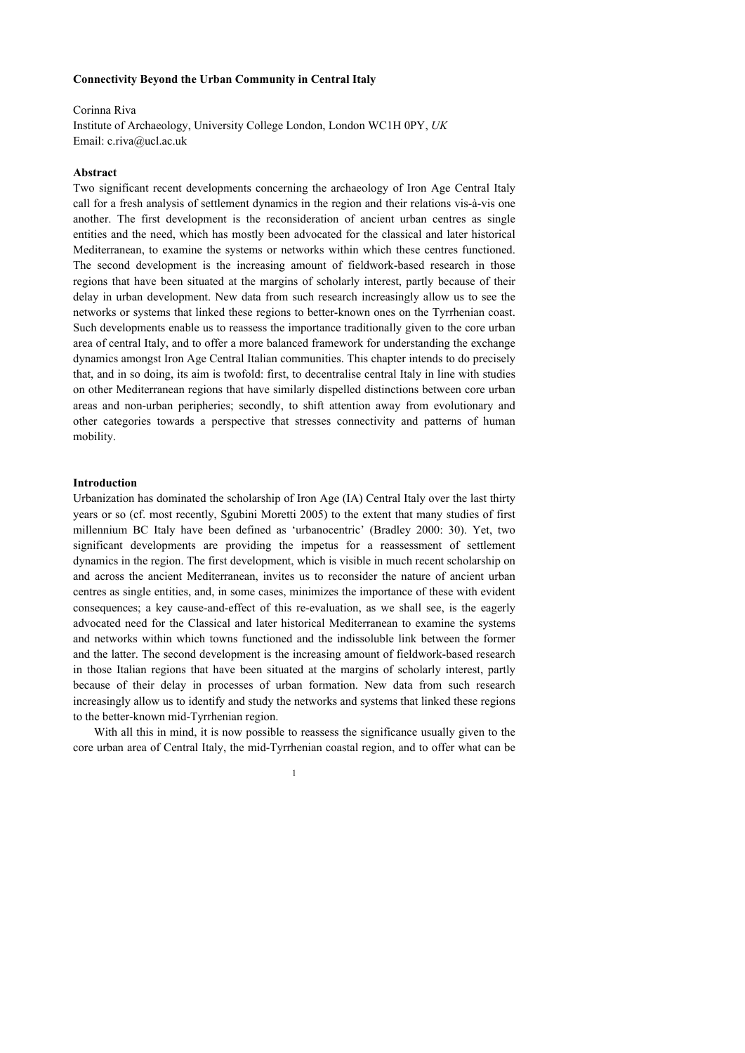#### **Connectivity Beyond the Urban Community in Central Italy**

# Corinna Riva Institute of Archaeology, University College London, London WC1H 0PY, *UK*  Email: c.riva@ucl.ac.uk

## **Abstract**

Two significant recent developments concerning the archaeology of Iron Age Central Italy call for a fresh analysis of settlement dynamics in the region and their relations vis-à-vis one another. The first development is the reconsideration of ancient urban centres as single entities and the need, which has mostly been advocated for the classical and later historical Mediterranean, to examine the systems or networks within which these centres functioned. The second development is the increasing amount of fieldwork-based research in those regions that have been situated at the margins of scholarly interest, partly because of their delay in urban development. New data from such research increasingly allow us to see the networks or systems that linked these regions to better-known ones on the Tyrrhenian coast. Such developments enable us to reassess the importance traditionally given to the core urban area of central Italy, and to offer a more balanced framework for understanding the exchange dynamics amongst Iron Age Central Italian communities. This chapter intends to do precisely that, and in so doing, its aim is twofold: first, to decentralise central Italy in line with studies on other Mediterranean regions that have similarly dispelled distinctions between core urban areas and non-urban peripheries; secondly, to shift attention away from evolutionary and other categories towards a perspective that stresses connectivity and patterns of human mobility.

### **Introduction**

Urbanization has dominated the scholarship of Iron Age (IA) Central Italy over the last thirty years or so (cf. most recently, Sgubini Moretti 2005) to the extent that many studies of first millennium BC Italy have been defined as 'urbanocentric' (Bradley 2000: 30). Yet, two significant developments are providing the impetus for a reassessment of settlement dynamics in the region. The first development, which is visible in much recent scholarship on and across the ancient Mediterranean, invites us to reconsider the nature of ancient urban centres as single entities, and, in some cases, minimizes the importance of these with evident consequences; a key cause-and-effect of this re-evaluation, as we shall see, is the eagerly advocated need for the Classical and later historical Mediterranean to examine the systems and networks within which towns functioned and the indissoluble link between the former and the latter. The second development is the increasing amount of fieldwork-based research in those Italian regions that have been situated at the margins of scholarly interest, partly because of their delay in processes of urban formation. New data from such research increasingly allow us to identify and study the networks and systems that linked these regions to the better-known mid-Tyrrhenian region.

With all this in mind, it is now possible to reassess the significance usually given to the core urban area of Central Italy, the mid-Tyrrhenian coastal region, and to offer what can be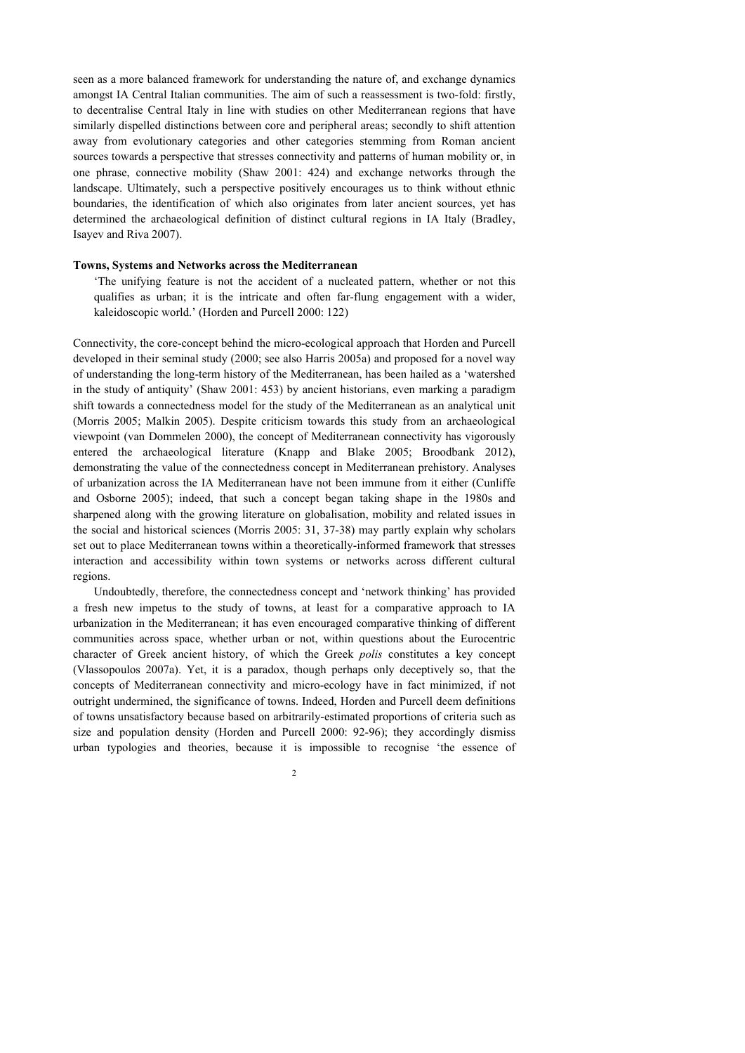seen as a more balanced framework for understanding the nature of, and exchange dynamics amongst IA Central Italian communities. The aim of such a reassessment is two-fold: firstly, to decentralise Central Italy in line with studies on other Mediterranean regions that have similarly dispelled distinctions between core and peripheral areas; secondly to shift attention away from evolutionary categories and other categories stemming from Roman ancient sources towards a perspective that stresses connectivity and patterns of human mobility or, in one phrase, connective mobility (Shaw 2001: 424) and exchange networks through the landscape. Ultimately, such a perspective positively encourages us to think without ethnic boundaries, the identification of which also originates from later ancient sources, yet has determined the archaeological definition of distinct cultural regions in IA Italy (Bradley, Isayev and Riva 2007).

## **Towns, Systems and Networks across the Mediterranean**

'The unifying feature is not the accident of a nucleated pattern, whether or not this qualifies as urban; it is the intricate and often far-flung engagement with a wider, kaleidoscopic world.' (Horden and Purcell 2000: 122)

Connectivity, the core-concept behind the micro-ecological approach that Horden and Purcell developed in their seminal study (2000; see also Harris 2005a) and proposed for a novel way of understanding the long-term history of the Mediterranean, has been hailed as a 'watershed in the study of antiquity' (Shaw 2001: 453) by ancient historians, even marking a paradigm shift towards a connectedness model for the study of the Mediterranean as an analytical unit (Morris 2005; Malkin 2005). Despite criticism towards this study from an archaeological viewpoint (van Dommelen 2000), the concept of Mediterranean connectivity has vigorously entered the archaeological literature (Knapp and Blake 2005; Broodbank 2012), demonstrating the value of the connectedness concept in Mediterranean prehistory. Analyses of urbanization across the IA Mediterranean have not been immune from it either (Cunliffe and Osborne 2005); indeed, that such a concept began taking shape in the 1980s and sharpened along with the growing literature on globalisation, mobility and related issues in the social and historical sciences (Morris 2005: 31, 37-38) may partly explain why scholars set out to place Mediterranean towns within a theoretically-informed framework that stresses interaction and accessibility within town systems or networks across different cultural regions.

Undoubtedly, therefore, the connectedness concept and 'network thinking' has provided a fresh new impetus to the study of towns, at least for a comparative approach to IA urbanization in the Mediterranean; it has even encouraged comparative thinking of different communities across space, whether urban or not, within questions about the Eurocentric character of Greek ancient history, of which the Greek *polis* constitutes a key concept (Vlassopoulos 2007a). Yet, it is a paradox, though perhaps only deceptively so, that the concepts of Mediterranean connectivity and micro-ecology have in fact minimized, if not outright undermined, the significance of towns. Indeed, Horden and Purcell deem definitions of towns unsatisfactory because based on arbitrarily-estimated proportions of criteria such as size and population density (Horden and Purcell 2000: 92-96); they accordingly dismiss urban typologies and theories, because it is impossible to recognise 'the essence of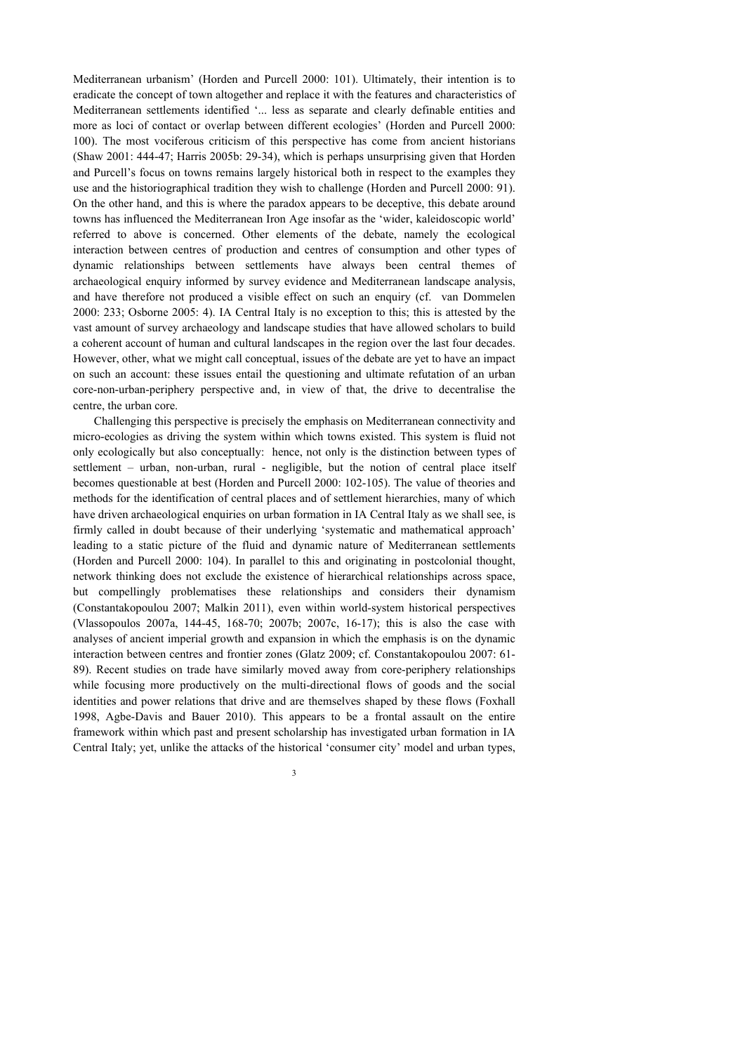Mediterranean urbanism' (Horden and Purcell 2000: 101). Ultimately, their intention is to eradicate the concept of town altogether and replace it with the features and characteristics of Mediterranean settlements identified '... less as separate and clearly definable entities and more as loci of contact or overlap between different ecologies' (Horden and Purcell 2000: 100). The most vociferous criticism of this perspective has come from ancient historians (Shaw 2001: 444-47; Harris 2005b: 29-34), which is perhaps unsurprising given that Horden and Purcell's focus on towns remains largely historical both in respect to the examples they use and the historiographical tradition they wish to challenge (Horden and Purcell 2000: 91). On the other hand, and this is where the paradox appears to be deceptive, this debate around towns has influenced the Mediterranean Iron Age insofar as the 'wider, kaleidoscopic world' referred to above is concerned. Other elements of the debate, namely the ecological interaction between centres of production and centres of consumption and other types of dynamic relationships between settlements have always been central themes of archaeological enquiry informed by survey evidence and Mediterranean landscape analysis, and have therefore not produced a visible effect on such an enquiry (cf. van Dommelen 2000: 233; Osborne 2005: 4). IA Central Italy is no exception to this; this is attested by the vast amount of survey archaeology and landscape studies that have allowed scholars to build a coherent account of human and cultural landscapes in the region over the last four decades. However, other, what we might call conceptual, issues of the debate are yet to have an impact on such an account: these issues entail the questioning and ultimate refutation of an urban core-non-urban-periphery perspective and, in view of that, the drive to decentralise the centre, the urban core.

Challenging this perspective is precisely the emphasis on Mediterranean connectivity and micro-ecologies as driving the system within which towns existed. This system is fluid not only ecologically but also conceptually: hence, not only is the distinction between types of settlement – urban, non-urban, rural - negligible, but the notion of central place itself becomes questionable at best (Horden and Purcell 2000: 102-105). The value of theories and methods for the identification of central places and of settlement hierarchies, many of which have driven archaeological enquiries on urban formation in IA Central Italy as we shall see, is firmly called in doubt because of their underlying 'systematic and mathematical approach' leading to a static picture of the fluid and dynamic nature of Mediterranean settlements (Horden and Purcell 2000: 104). In parallel to this and originating in postcolonial thought, network thinking does not exclude the existence of hierarchical relationships across space, but compellingly problematises these relationships and considers their dynamism (Constantakopoulou 2007; Malkin 2011), even within world-system historical perspectives (Vlassopoulos 2007a, 144-45, 168-70; 2007b; 2007c, 16-17); this is also the case with analyses of ancient imperial growth and expansion in which the emphasis is on the dynamic interaction between centres and frontier zones (Glatz 2009; cf. Constantakopoulou 2007: 61- 89). Recent studies on trade have similarly moved away from core-periphery relationships while focusing more productively on the multi-directional flows of goods and the social identities and power relations that drive and are themselves shaped by these flows (Foxhall 1998, Agbe-Davis and Bauer 2010). This appears to be a frontal assault on the entire framework within which past and present scholarship has investigated urban formation in IA Central Italy; yet, unlike the attacks of the historical 'consumer city' model and urban types,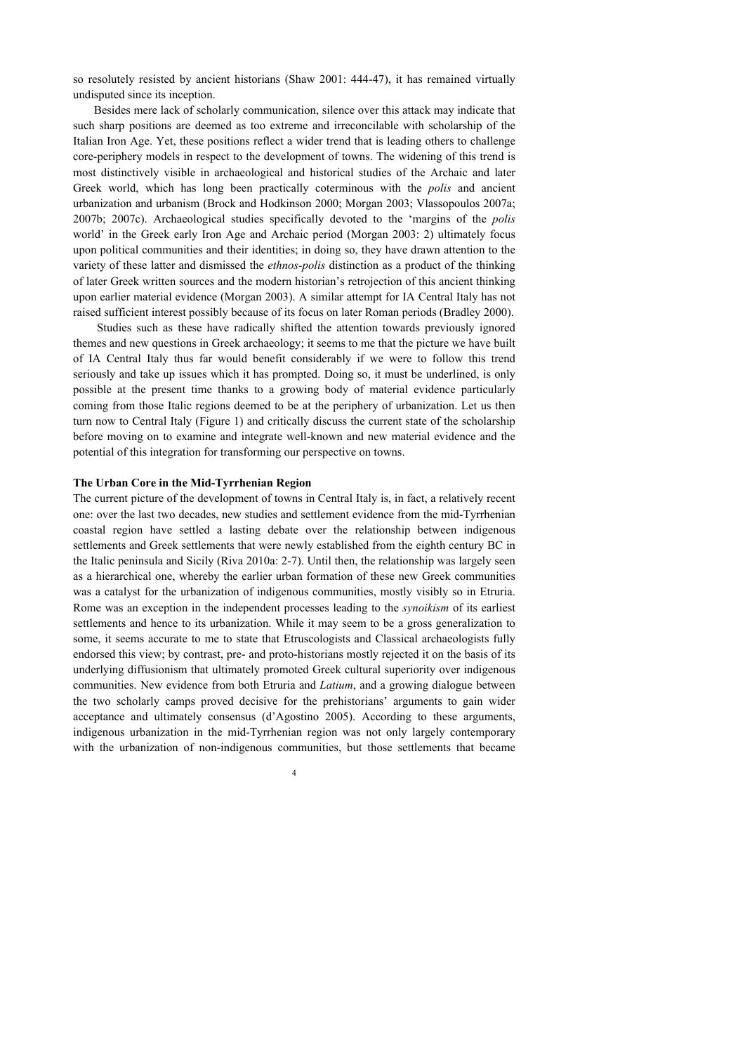so resolutely resisted by ancient historians (Shaw 2001: 444-47), it has remained virtually undisputed since its inception.

Besides mere lack of scholarly communication, silence over this attack may indicate that such sharp positions are deemed as too extreme and irreconcilable with scholarship of the Italian Iron Age. Yet, these positions reflect a wider trend that is leading others to challenge core-periphery models in respect to the development of towns. The widening of this trend is most distinctively visible in archaeological and historical studies of the Archaic and later Greek world, which has long been practically coterminous with the *polis* and ancient urbanization and urbanism (Brock and Hodkinson 2000; Morgan 2003; Vlassopoulos 2007a; 2007b; 2007c). Archaeological studies specifically devoted to the 'margins of the *polis* world' in the Greek early Iron Age and Archaic period (Morgan 2003: 2) ultimately focus upon political communities and their identities; in doing so, they have drawn attention to the variety of these latter and dismissed the *ethnos-polis* distinction as a product of the thinking of later Greek written sources and the modern historian's retrojection of this ancient thinking upon earlier material evidence (Morgan 2003). A similar attempt for IA Central Italy has not raised sufficient interest possibly because of its focus on later Roman periods (Bradley 2000).

 Studies such as these have radically shifted the attention towards previously ignored themes and new questions in Greek archaeology; it seems to me that the picture we have built of IA Central Italy thus far would benefit considerably if we were to follow this trend seriously and take up issues which it has prompted. Doing so, it must be underlined, is only possible at the present time thanks to a growing body of material evidence particularly coming from those Italic regions deemed to be at the periphery of urbanization. Let us then turn now to Central Italy (Figure 1) and critically discuss the current state of the scholarship before moving on to examine and integrate well-known and new material evidence and the potential of this integration for transforming our perspective on towns.

#### **The Urban Core in the Mid-Tyrrhenian Region**

The current picture of the development of towns in Central Italy is, in fact, a relatively recent one: over the last two decades, new studies and settlement evidence from the mid-Tyrrhenian coastal region have settled a lasting debate over the relationship between indigenous settlements and Greek settlements that were newly established from the eighth century BC in the Italic peninsula and Sicily (Riva 2010a: 2-7). Until then, the relationship was largely seen as a hierarchical one, whereby the earlier urban formation of these new Greek communities was a catalyst for the urbanization of indigenous communities, mostly visibly so in Etruria. Rome was an exception in the independent processes leading to the *synoikism* of its earliest settlements and hence to its urbanization. While it may seem to be a gross generalization to some, it seems accurate to me to state that Etruscologists and Classical archaeologists fully endorsed this view; by contrast, pre- and proto-historians mostly rejected it on the basis of its underlying diffusionism that ultimately promoted Greek cultural superiority over indigenous communities. New evidence from both Etruria and *Latium*, and a growing dialogue between the two scholarly camps proved decisive for the prehistorians' arguments to gain wider acceptance and ultimately consensus (d'Agostino 2005). According to these arguments, indigenous urbanization in the mid-Tyrrhenian region was not only largely contemporary with the urbanization of non-indigenous communities, but those settlements that became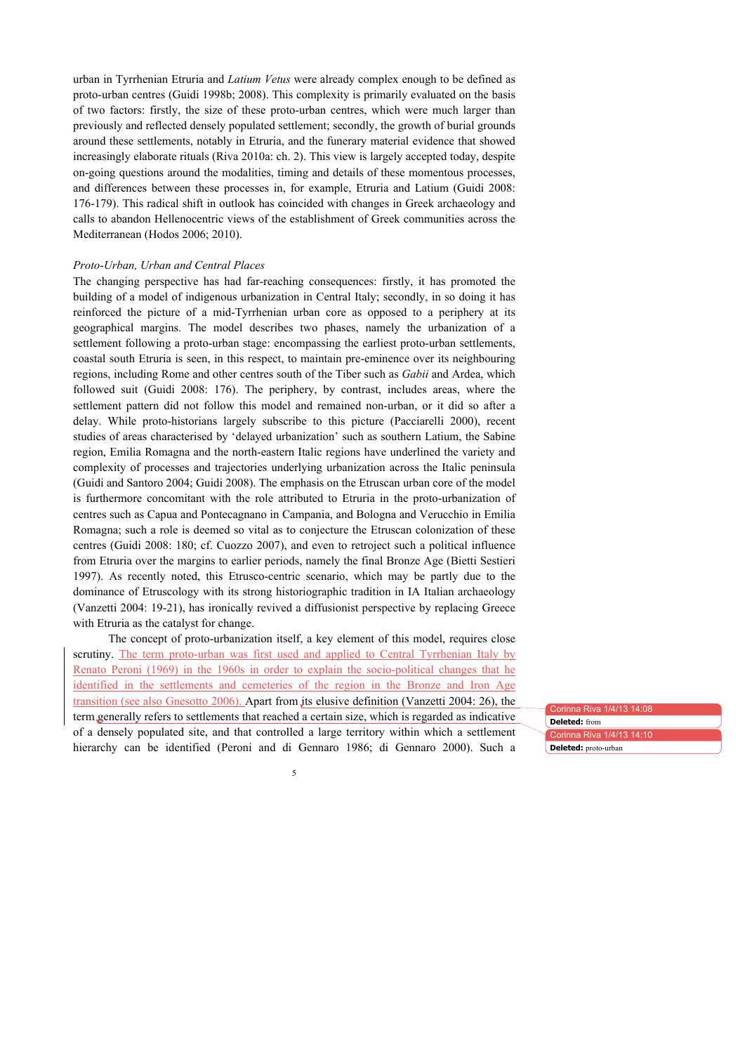urban in Tyrrhenian Etruria and *Latium Vetus* were already complex enough to be defined as proto-urban centres (Guidi 1998b; 2008). This complexity is primarily evaluated on the basis of two factors: firstly, the size of these proto-urban centres, which were much larger than previously and reflected densely populated settlement; secondly, the growth of burial grounds around these settlements, notably in Etruria, and the funerary material evidence that showed increasingly elaborate rituals (Riva 2010a: ch. 2). This view is largely accepted today, despite on-going questions around the modalities, timing and details of these momentous processes, and differences between these processes in, for example, Etruria and Latium (Guidi 2008: 176-179). This radical shift in outlook has coincided with changes in Greek archaeology and calls to abandon Hellenocentric views of the establishment of Greek communities across the Mediterranean (Hodos 2006; 2010).

## *Proto-Urban, Urban and Central Places*

The changing perspective has had far-reaching consequences: firstly, it has promoted the building of a model of indigenous urbanization in Central Italy; secondly, in so doing it has reinforced the picture of a mid-Tyrrhenian urban core as opposed to a periphery at its geographical margins. The model describes two phases, namely the urbanization of a settlement following a proto-urban stage: encompassing the earliest proto-urban settlements, coastal south Etruria is seen, in this respect, to maintain pre-eminence over its neighbouring regions, including Rome and other centres south of the Tiber such as *Gabii* and Ardea, which followed suit (Guidi 2008: 176). The periphery, by contrast, includes areas, where the settlement pattern did not follow this model and remained non-urban, or it did so after a delay. While proto-historians largely subscribe to this picture (Pacciarelli 2000), recent studies of areas characterised by 'delayed urbanization' such as southern Latium, the Sabine region, Emilia Romagna and the north-eastern Italic regions have underlined the variety and complexity of processes and trajectories underlying urbanization across the Italic peninsula (Guidi and Santoro 2004; Guidi 2008). The emphasis on the Etruscan urban core of the model is furthermore concomitant with the role attributed to Etruria in the proto-urbanization of centres such as Capua and Pontecagnano in Campania, and Bologna and Verucchio in Emilia Romagna; such a role is deemed so vital as to conjecture the Etruscan colonization of these centres (Guidi 2008: 180; cf. Cuozzo 2007), and even to retroject such a political influence from Etruria over the margins to earlier periods, namely the final Bronze Age (Bietti Sestieri 1997). As recently noted, this Etrusco-centric scenario, which may be partly due to the dominance of Etruscology with its strong historiographic tradition in IA Italian archaeology (Vanzetti 2004: 19-21), has ironically revived a diffusionist perspective by replacing Greece with Etruria as the catalyst for change.

The concept of proto-urbanization itself, a key element of this model, requires close scrutiny. The term proto-urban was first used and applied to Central Tyrrhenian Italy by Renato Peroni (1969) in the 1960s in order to explain the socio-political changes that he identified in the settlements and cemeteries of the region in the Bronze and Iron Age transition (see also Gnesotto 2006). Apart from its elusive definition (Vanzetti 2004: 26), the term generally refers to settlements that reached a certain size, which is regarded as indicative of a densely populated site, and that controlled a large territory within which a settlement hierarchy can be identified (Peroni and di Gennaro 1986; di Gennaro 2000). Such a

Corinna Riva 1/4/13 14:08 Corinna Riva 1/4/13 14:10 **Deleted:** from **Deleted:** proto-urban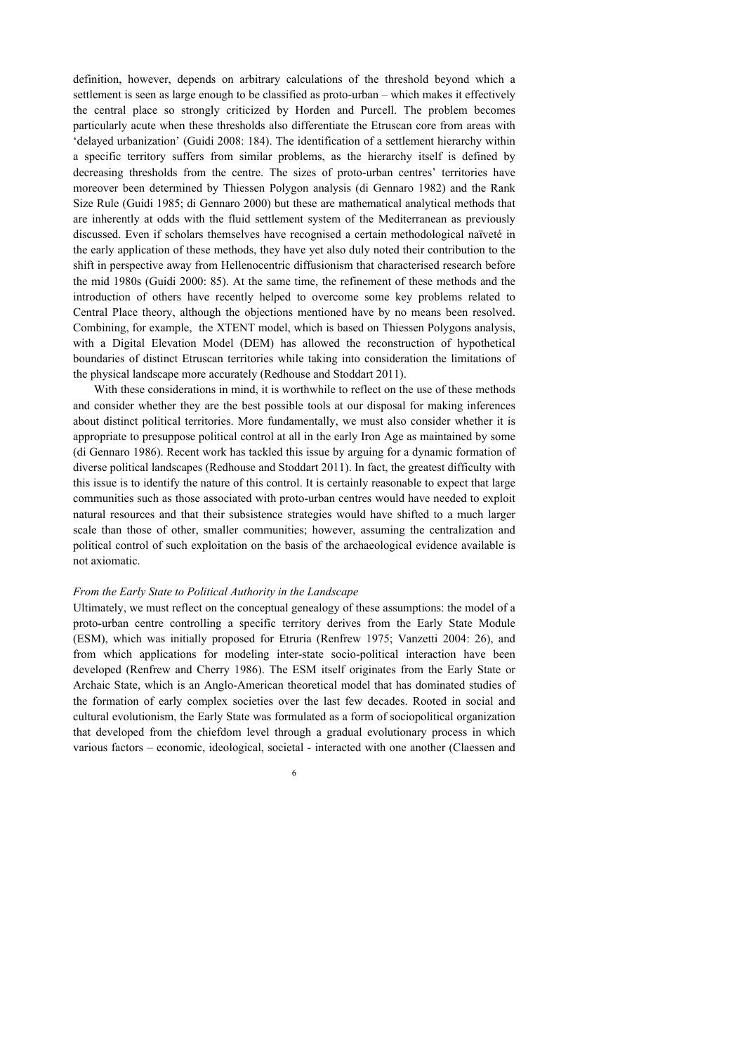definition, however, depends on arbitrary calculations of the threshold beyond which a settlement is seen as large enough to be classified as proto-urban – which makes it effectively the central place so strongly criticized by Horden and Purcell. The problem becomes particularly acute when these thresholds also differentiate the Etruscan core from areas with 'delayed urbanization' (Guidi 2008: 184). The identification of a settlement hierarchy within a specific territory suffers from similar problems, as the hierarchy itself is defined by decreasing thresholds from the centre. The sizes of proto-urban centres' territories have moreover been determined by Thiessen Polygon analysis (di Gennaro 1982) and the Rank Size Rule (Guidi 1985; di Gennaro 2000) but these are mathematical analytical methods that are inherently at odds with the fluid settlement system of the Mediterranean as previously discussed. Even if scholars themselves have recognised a certain methodological naïveté in the early application of these methods, they have yet also duly noted their contribution to the shift in perspective away from Hellenocentric diffusionism that characterised research before the mid 1980s (Guidi 2000: 85). At the same time, the refinement of these methods and the introduction of others have recently helped to overcome some key problems related to Central Place theory, although the objections mentioned have by no means been resolved. Combining, for example, the XTENT model, which is based on Thiessen Polygons analysis, with a Digital Elevation Model (DEM) has allowed the reconstruction of hypothetical boundaries of distinct Etruscan territories while taking into consideration the limitations of the physical landscape more accurately (Redhouse and Stoddart 2011).

With these considerations in mind, it is worthwhile to reflect on the use of these methods and consider whether they are the best possible tools at our disposal for making inferences about distinct political territories. More fundamentally, we must also consider whether it is appropriate to presuppose political control at all in the early Iron Age as maintained by some (di Gennaro 1986). Recent work has tackled this issue by arguing for a dynamic formation of diverse political landscapes (Redhouse and Stoddart 2011). In fact, the greatest difficulty with this issue is to identify the nature of this control. It is certainly reasonable to expect that large communities such as those associated with proto-urban centres would have needed to exploit natural resources and that their subsistence strategies would have shifted to a much larger scale than those of other, smaller communities; however, assuming the centralization and political control of such exploitation on the basis of the archaeological evidence available is not axiomatic.

#### *From the Early State to Political Authority in the Landscape*

Ultimately, we must reflect on the conceptual genealogy of these assumptions: the model of a proto-urban centre controlling a specific territory derives from the Early State Module (ESM), which was initially proposed for Etruria (Renfrew 1975; Vanzetti 2004: 26), and from which applications for modeling inter-state socio-political interaction have been developed (Renfrew and Cherry 1986). The ESM itself originates from the Early State or Archaic State, which is an Anglo-American theoretical model that has dominated studies of the formation of early complex societies over the last few decades. Rooted in social and cultural evolutionism, the Early State was formulated as a form of sociopolitical organization that developed from the chiefdom level through a gradual evolutionary process in which various factors – economic, ideological, societal - interacted with one another (Claessen and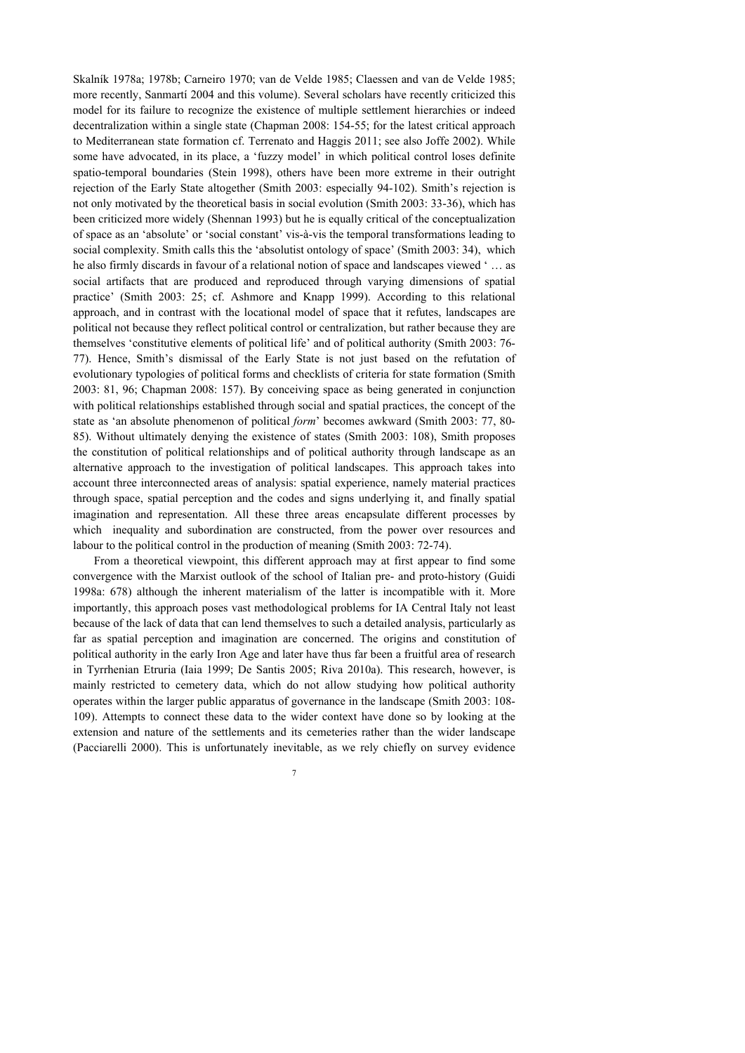Skalník 1978a; 1978b; Carneiro 1970; van de Velde 1985; Claessen and van de Velde 1985; more recently, Sanmartí 2004 and this volume). Several scholars have recently criticized this model for its failure to recognize the existence of multiple settlement hierarchies or indeed decentralization within a single state (Chapman 2008: 154-55; for the latest critical approach to Mediterranean state formation cf. Terrenato and Haggis 2011; see also Joffe 2002). While some have advocated, in its place, a 'fuzzy model' in which political control loses definite spatio-temporal boundaries (Stein 1998), others have been more extreme in their outright rejection of the Early State altogether (Smith 2003: especially 94-102). Smith's rejection is not only motivated by the theoretical basis in social evolution (Smith 2003: 33-36), which has been criticized more widely (Shennan 1993) but he is equally critical of the conceptualization of space as an 'absolute' or 'social constant' vis-à-vis the temporal transformations leading to social complexity. Smith calls this the 'absolutist ontology of space' (Smith 2003: 34), which he also firmly discards in favour of a relational notion of space and landscapes viewed ' … as social artifacts that are produced and reproduced through varying dimensions of spatial practice' (Smith 2003: 25; cf. Ashmore and Knapp 1999). According to this relational approach, and in contrast with the locational model of space that it refutes, landscapes are political not because they reflect political control or centralization, but rather because they are themselves 'constitutive elements of political life' and of political authority (Smith 2003: 76- 77). Hence, Smith's dismissal of the Early State is not just based on the refutation of evolutionary typologies of political forms and checklists of criteria for state formation (Smith 2003: 81, 96; Chapman 2008: 157). By conceiving space as being generated in conjunction with political relationships established through social and spatial practices, the concept of the state as 'an absolute phenomenon of political *form*' becomes awkward (Smith 2003: 77, 80- 85). Without ultimately denying the existence of states (Smith 2003: 108), Smith proposes the constitution of political relationships and of political authority through landscape as an alternative approach to the investigation of political landscapes. This approach takes into account three interconnected areas of analysis: spatial experience, namely material practices through space, spatial perception and the codes and signs underlying it, and finally spatial imagination and representation. All these three areas encapsulate different processes by which inequality and subordination are constructed, from the power over resources and labour to the political control in the production of meaning (Smith 2003: 72-74).

From a theoretical viewpoint, this different approach may at first appear to find some convergence with the Marxist outlook of the school of Italian pre- and proto-history (Guidi 1998a: 678) although the inherent materialism of the latter is incompatible with it. More importantly, this approach poses vast methodological problems for IA Central Italy not least because of the lack of data that can lend themselves to such a detailed analysis, particularly as far as spatial perception and imagination are concerned. The origins and constitution of political authority in the early Iron Age and later have thus far been a fruitful area of research in Tyrrhenian Etruria (Iaia 1999; De Santis 2005; Riva 2010a). This research, however, is mainly restricted to cemetery data, which do not allow studying how political authority operates within the larger public apparatus of governance in the landscape (Smith 2003: 108- 109). Attempts to connect these data to the wider context have done so by looking at the extension and nature of the settlements and its cemeteries rather than the wider landscape (Pacciarelli 2000). This is unfortunately inevitable, as we rely chiefly on survey evidence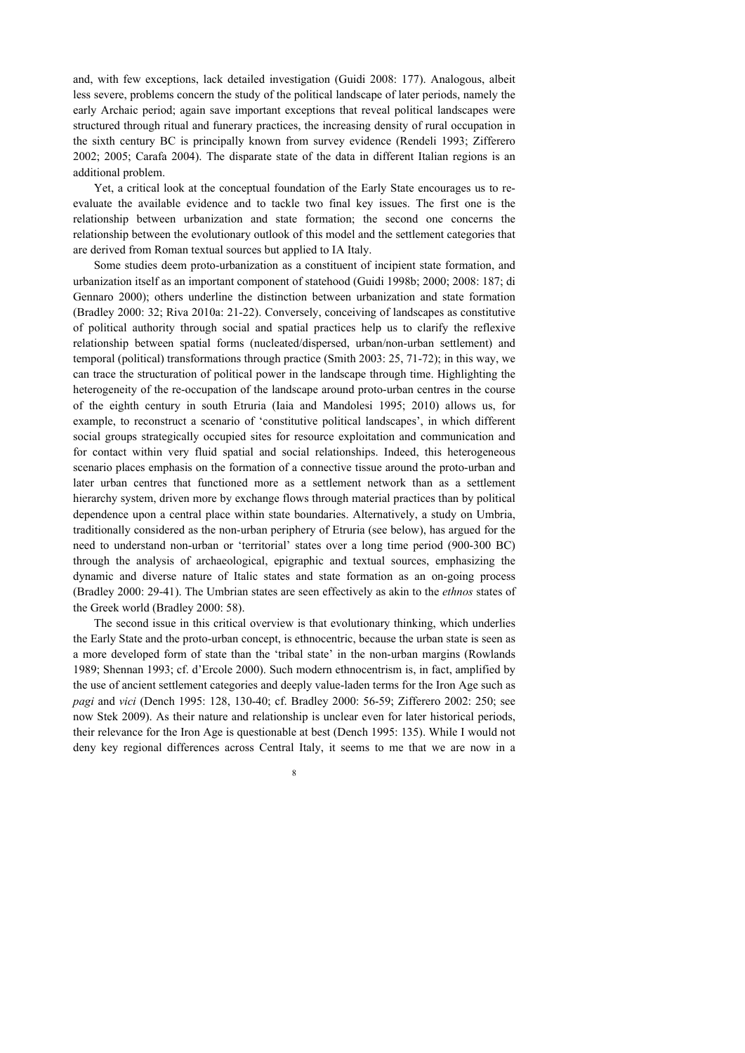and, with few exceptions, lack detailed investigation (Guidi 2008: 177). Analogous, albeit less severe, problems concern the study of the political landscape of later periods, namely the early Archaic period; again save important exceptions that reveal political landscapes were structured through ritual and funerary practices, the increasing density of rural occupation in the sixth century BC is principally known from survey evidence (Rendeli 1993; Zifferero 2002; 2005; Carafa 2004). The disparate state of the data in different Italian regions is an additional problem.

Yet, a critical look at the conceptual foundation of the Early State encourages us to reevaluate the available evidence and to tackle two final key issues. The first one is the relationship between urbanization and state formation; the second one concerns the relationship between the evolutionary outlook of this model and the settlement categories that are derived from Roman textual sources but applied to IA Italy.

Some studies deem proto-urbanization as a constituent of incipient state formation, and urbanization itself as an important component of statehood (Guidi 1998b; 2000; 2008: 187; di Gennaro 2000); others underline the distinction between urbanization and state formation (Bradley 2000: 32; Riva 2010a: 21-22). Conversely, conceiving of landscapes as constitutive of political authority through social and spatial practices help us to clarify the reflexive relationship between spatial forms (nucleated/dispersed, urban/non-urban settlement) and temporal (political) transformations through practice (Smith 2003: 25, 71-72); in this way, we can trace the structuration of political power in the landscape through time. Highlighting the heterogeneity of the re-occupation of the landscape around proto-urban centres in the course of the eighth century in south Etruria (Iaia and Mandolesi 1995; 2010) allows us, for example, to reconstruct a scenario of 'constitutive political landscapes', in which different social groups strategically occupied sites for resource exploitation and communication and for contact within very fluid spatial and social relationships. Indeed, this heterogeneous scenario places emphasis on the formation of a connective tissue around the proto-urban and later urban centres that functioned more as a settlement network than as a settlement hierarchy system, driven more by exchange flows through material practices than by political dependence upon a central place within state boundaries. Alternatively, a study on Umbria, traditionally considered as the non-urban periphery of Etruria (see below), has argued for the need to understand non-urban or 'territorial' states over a long time period (900-300 BC) through the analysis of archaeological, epigraphic and textual sources, emphasizing the dynamic and diverse nature of Italic states and state formation as an on-going process (Bradley 2000: 29-41). The Umbrian states are seen effectively as akin to the *ethnos* states of the Greek world (Bradley 2000: 58).

The second issue in this critical overview is that evolutionary thinking, which underlies the Early State and the proto-urban concept, is ethnocentric, because the urban state is seen as a more developed form of state than the 'tribal state' in the non-urban margins (Rowlands 1989; Shennan 1993; cf. d'Ercole 2000). Such modern ethnocentrism is, in fact, amplified by the use of ancient settlement categories and deeply value-laden terms for the Iron Age such as *pagi* and *vici* (Dench 1995: 128, 130-40; cf. Bradley 2000: 56-59; Zifferero 2002: 250; see now Stek 2009). As their nature and relationship is unclear even for later historical periods, their relevance for the Iron Age is questionable at best (Dench 1995: 135). While I would not deny key regional differences across Central Italy, it seems to me that we are now in a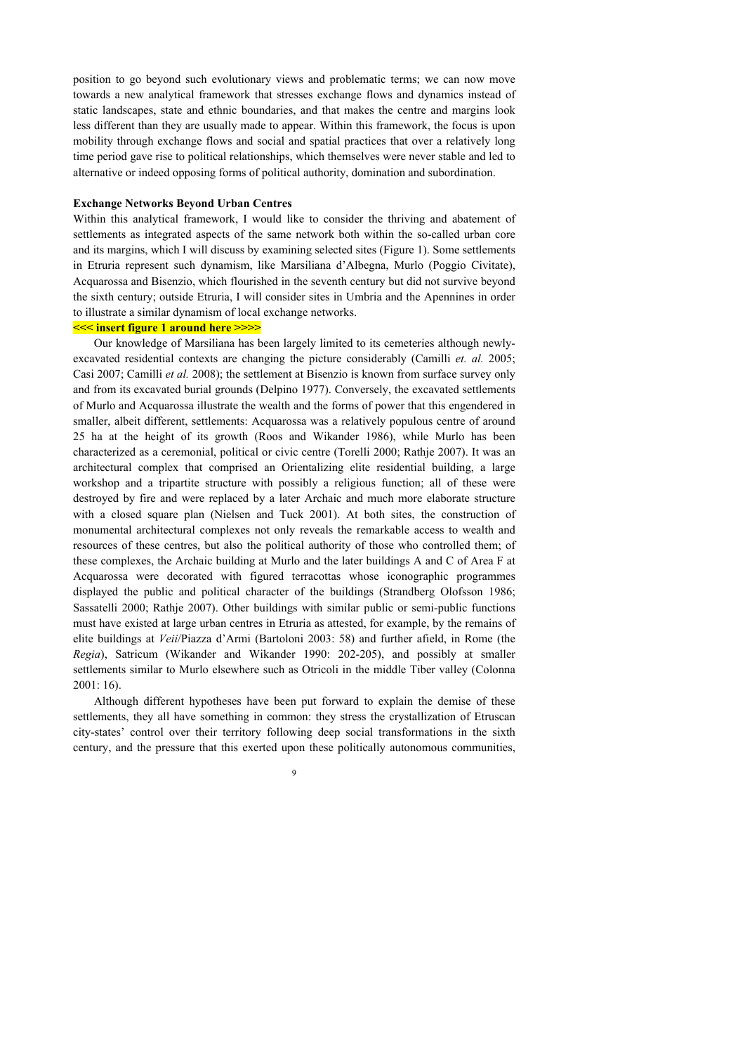position to go beyond such evolutionary views and problematic terms; we can now move towards a new analytical framework that stresses exchange flows and dynamics instead of static landscapes, state and ethnic boundaries, and that makes the centre and margins look less different than they are usually made to appear. Within this framework, the focus is upon mobility through exchange flows and social and spatial practices that over a relatively long time period gave rise to political relationships, which themselves were never stable and led to alternative or indeed opposing forms of political authority, domination and subordination.

#### **Exchange Networks Beyond Urban Centres**

Within this analytical framework, I would like to consider the thriving and abatement of settlements as integrated aspects of the same network both within the so-called urban core and its margins, which I will discuss by examining selected sites (Figure 1). Some settlements in Etruria represent such dynamism, like Marsiliana d'Albegna, Murlo (Poggio Civitate), Acquarossa and Bisenzio, which flourished in the seventh century but did not survive beyond the sixth century; outside Etruria, I will consider sites in Umbria and the Apennines in order to illustrate a similar dynamism of local exchange networks.

### **<<< insert figure 1 around here >>>>**

Our knowledge of Marsiliana has been largely limited to its cemeteries although newlyexcavated residential contexts are changing the picture considerably (Camilli *et. al.* 2005; Casi 2007; Camilli *et al.* 2008); the settlement at Bisenzio is known from surface survey only and from its excavated burial grounds (Delpino 1977). Conversely, the excavated settlements of Murlo and Acquarossa illustrate the wealth and the forms of power that this engendered in smaller, albeit different, settlements: Acquarossa was a relatively populous centre of around 25 ha at the height of its growth (Roos and Wikander 1986), while Murlo has been characterized as a ceremonial, political or civic centre (Torelli 2000; Rathje 2007). It was an architectural complex that comprised an Orientalizing elite residential building, a large workshop and a tripartite structure with possibly a religious function; all of these were destroyed by fire and were replaced by a later Archaic and much more elaborate structure with a closed square plan (Nielsen and Tuck 2001). At both sites, the construction of monumental architectural complexes not only reveals the remarkable access to wealth and resources of these centres, but also the political authority of those who controlled them; of these complexes, the Archaic building at Murlo and the later buildings A and C of Area F at Acquarossa were decorated with figured terracottas whose iconographic programmes displayed the public and political character of the buildings (Strandberg Olofsson 1986; Sassatelli 2000; Rathje 2007). Other buildings with similar public or semi-public functions must have existed at large urban centres in Etruria as attested, for example, by the remains of elite buildings at *Veii*/Piazza d'Armi (Bartoloni 2003: 58) and further afield, in Rome (the *Regia*), Satricum (Wikander and Wikander 1990: 202-205), and possibly at smaller settlements similar to Murlo elsewhere such as Otricoli in the middle Tiber valley (Colonna 2001: 16).

Although different hypotheses have been put forward to explain the demise of these settlements, they all have something in common: they stress the crystallization of Etruscan city-states' control over their territory following deep social transformations in the sixth century, and the pressure that this exerted upon these politically autonomous communities,

 $\overline{Q}$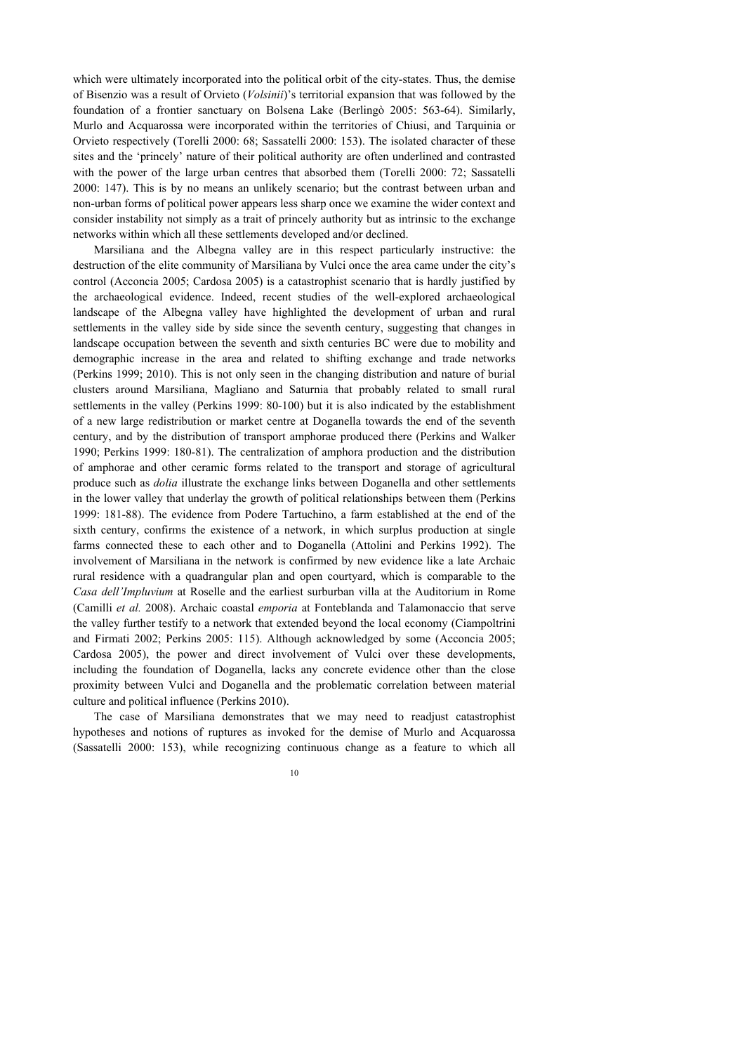which were ultimately incorporated into the political orbit of the city-states. Thus, the demise of Bisenzio was a result of Orvieto (*Volsinii*)'s territorial expansion that was followed by the foundation of a frontier sanctuary on Bolsena Lake (Berlingò 2005: 563-64). Similarly, Murlo and Acquarossa were incorporated within the territories of Chiusi, and Tarquinia or Orvieto respectively (Torelli 2000: 68; Sassatelli 2000: 153). The isolated character of these sites and the 'princely' nature of their political authority are often underlined and contrasted with the power of the large urban centres that absorbed them (Torelli 2000: 72; Sassatelli 2000: 147). This is by no means an unlikely scenario; but the contrast between urban and non-urban forms of political power appears less sharp once we examine the wider context and consider instability not simply as a trait of princely authority but as intrinsic to the exchange networks within which all these settlements developed and/or declined.

Marsiliana and the Albegna valley are in this respect particularly instructive: the destruction of the elite community of Marsiliana by Vulci once the area came under the city's control (Acconcia 2005; Cardosa 2005) is a catastrophist scenario that is hardly justified by the archaeological evidence. Indeed, recent studies of the well-explored archaeological landscape of the Albegna valley have highlighted the development of urban and rural settlements in the valley side by side since the seventh century, suggesting that changes in landscape occupation between the seventh and sixth centuries BC were due to mobility and demographic increase in the area and related to shifting exchange and trade networks (Perkins 1999; 2010). This is not only seen in the changing distribution and nature of burial clusters around Marsiliana, Magliano and Saturnia that probably related to small rural settlements in the valley (Perkins 1999: 80-100) but it is also indicated by the establishment of a new large redistribution or market centre at Doganella towards the end of the seventh century, and by the distribution of transport amphorae produced there (Perkins and Walker 1990; Perkins 1999: 180-81). The centralization of amphora production and the distribution of amphorae and other ceramic forms related to the transport and storage of agricultural produce such as *dolia* illustrate the exchange links between Doganella and other settlements in the lower valley that underlay the growth of political relationships between them (Perkins 1999: 181-88). The evidence from Podere Tartuchino, a farm established at the end of the sixth century, confirms the existence of a network, in which surplus production at single farms connected these to each other and to Doganella (Attolini and Perkins 1992). The involvement of Marsiliana in the network is confirmed by new evidence like a late Archaic rural residence with a quadrangular plan and open courtyard, which is comparable to the *Casa dell'Impluvium* at Roselle and the earliest surburban villa at the Auditorium in Rome (Camilli *et al.* 2008). Archaic coastal *emporia* at Fonteblanda and Talamonaccio that serve the valley further testify to a network that extended beyond the local economy (Ciampoltrini and Firmati 2002; Perkins 2005: 115). Although acknowledged by some (Acconcia 2005; Cardosa 2005), the power and direct involvement of Vulci over these developments, including the foundation of Doganella, lacks any concrete evidence other than the close proximity between Vulci and Doganella and the problematic correlation between material culture and political influence (Perkins 2010).

The case of Marsiliana demonstrates that we may need to readjust catastrophist hypotheses and notions of ruptures as invoked for the demise of Murlo and Acquarossa (Sassatelli 2000: 153), while recognizing continuous change as a feature to which all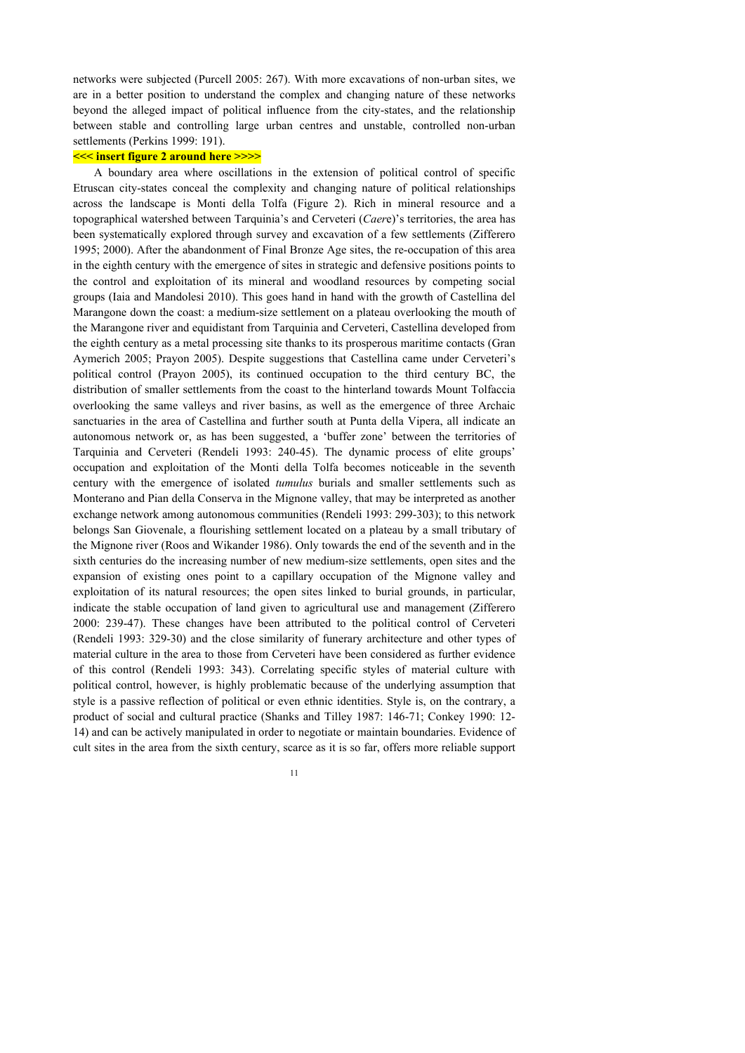networks were subjected (Purcell 2005: 267). With more excavations of non-urban sites, we are in a better position to understand the complex and changing nature of these networks beyond the alleged impact of political influence from the city-states, and the relationship between stable and controlling large urban centres and unstable, controlled non-urban settlements (Perkins 1999: 191).

## **<<< insert figure 2 around here >>>>**

A boundary area where oscillations in the extension of political control of specific Etruscan city-states conceal the complexity and changing nature of political relationships across the landscape is Monti della Tolfa (Figure 2). Rich in mineral resource and a topographical watershed between Tarquinia's and Cerveteri (*Caer*e)'s territories, the area has been systematically explored through survey and excavation of a few settlements (Zifferero 1995; 2000). After the abandonment of Final Bronze Age sites, the re-occupation of this area in the eighth century with the emergence of sites in strategic and defensive positions points to the control and exploitation of its mineral and woodland resources by competing social groups (Iaia and Mandolesi 2010). This goes hand in hand with the growth of Castellina del Marangone down the coast: a medium-size settlement on a plateau overlooking the mouth of the Marangone river and equidistant from Tarquinia and Cerveteri, Castellina developed from the eighth century as a metal processing site thanks to its prosperous maritime contacts (Gran Aymerich 2005; Prayon 2005). Despite suggestions that Castellina came under Cerveteri's political control (Prayon 2005), its continued occupation to the third century BC, the distribution of smaller settlements from the coast to the hinterland towards Mount Tolfaccia overlooking the same valleys and river basins, as well as the emergence of three Archaic sanctuaries in the area of Castellina and further south at Punta della Vipera, all indicate an autonomous network or, as has been suggested, a 'buffer zone' between the territories of Tarquinia and Cerveteri (Rendeli 1993: 240-45). The dynamic process of elite groups' occupation and exploitation of the Monti della Tolfa becomes noticeable in the seventh century with the emergence of isolated *tumulus* burials and smaller settlements such as Monterano and Pian della Conserva in the Mignone valley, that may be interpreted as another exchange network among autonomous communities (Rendeli 1993: 299-303); to this network belongs San Giovenale, a flourishing settlement located on a plateau by a small tributary of the Mignone river (Roos and Wikander 1986). Only towards the end of the seventh and in the sixth centuries do the increasing number of new medium-size settlements, open sites and the expansion of existing ones point to a capillary occupation of the Mignone valley and exploitation of its natural resources; the open sites linked to burial grounds, in particular, indicate the stable occupation of land given to agricultural use and management (Zifferero 2000: 239-47). These changes have been attributed to the political control of Cerveteri (Rendeli 1993: 329-30) and the close similarity of funerary architecture and other types of material culture in the area to those from Cerveteri have been considered as further evidence of this control (Rendeli 1993: 343). Correlating specific styles of material culture with political control, however, is highly problematic because of the underlying assumption that style is a passive reflection of political or even ethnic identities. Style is, on the contrary, a product of social and cultural practice (Shanks and Tilley 1987: 146-71; Conkey 1990: 12- 14) and can be actively manipulated in order to negotiate or maintain boundaries. Evidence of cult sites in the area from the sixth century, scarce as it is so far, offers more reliable support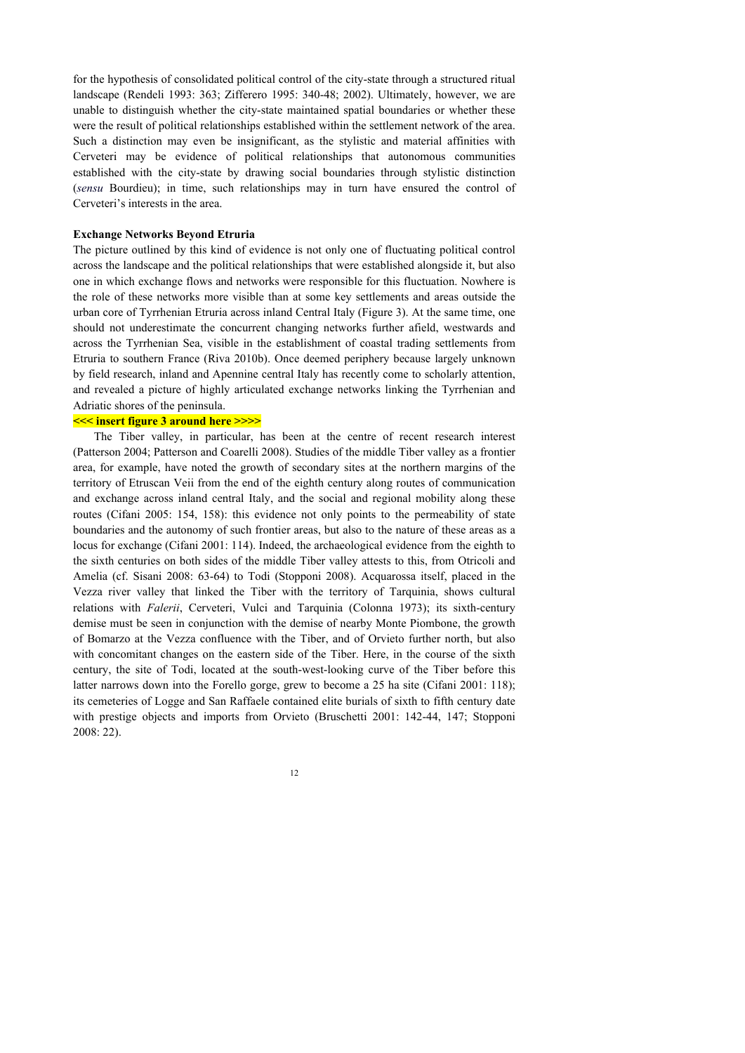for the hypothesis of consolidated political control of the city-state through a structured ritual landscape (Rendeli 1993: 363; Zifferero 1995: 340-48; 2002). Ultimately, however, we are unable to distinguish whether the city-state maintained spatial boundaries or whether these were the result of political relationships established within the settlement network of the area. Such a distinction may even be insignificant, as the stylistic and material affinities with Cerveteri may be evidence of political relationships that autonomous communities established with the city-state by drawing social boundaries through stylistic distinction (*sensu* Bourdieu); in time, such relationships may in turn have ensured the control of Cerveteri's interests in the area.

#### **Exchange Networks Beyond Etruria**

The picture outlined by this kind of evidence is not only one of fluctuating political control across the landscape and the political relationships that were established alongside it, but also one in which exchange flows and networks were responsible for this fluctuation. Nowhere is the role of these networks more visible than at some key settlements and areas outside the urban core of Tyrrhenian Etruria across inland Central Italy (Figure 3). At the same time, one should not underestimate the concurrent changing networks further afield, westwards and across the Tyrrhenian Sea, visible in the establishment of coastal trading settlements from Etruria to southern France (Riva 2010b). Once deemed periphery because largely unknown by field research, inland and Apennine central Italy has recently come to scholarly attention, and revealed a picture of highly articulated exchange networks linking the Tyrrhenian and Adriatic shores of the peninsula.

### **<<< insert figure 3 around here >>>>**

The Tiber valley, in particular, has been at the centre of recent research interest (Patterson 2004; Patterson and Coarelli 2008). Studies of the middle Tiber valley as a frontier area, for example, have noted the growth of secondary sites at the northern margins of the territory of Etruscan Veii from the end of the eighth century along routes of communication and exchange across inland central Italy, and the social and regional mobility along these routes (Cifani 2005: 154, 158): this evidence not only points to the permeability of state boundaries and the autonomy of such frontier areas, but also to the nature of these areas as a locus for exchange (Cifani 2001: 114). Indeed, the archaeological evidence from the eighth to the sixth centuries on both sides of the middle Tiber valley attests to this, from Otricoli and Amelia (cf. Sisani 2008: 63-64) to Todi (Stopponi 2008). Acquarossa itself, placed in the Vezza river valley that linked the Tiber with the territory of Tarquinia, shows cultural relations with *Falerii*, Cerveteri, Vulci and Tarquinia (Colonna 1973); its sixth-century demise must be seen in conjunction with the demise of nearby Monte Piombone, the growth of Bomarzo at the Vezza confluence with the Tiber, and of Orvieto further north, but also with concomitant changes on the eastern side of the Tiber. Here, in the course of the sixth century, the site of Todi, located at the south-west-looking curve of the Tiber before this latter narrows down into the Forello gorge, grew to become a 25 ha site (Cifani 2001: 118); its cemeteries of Logge and San Raffaele contained elite burials of sixth to fifth century date with prestige objects and imports from Orvieto (Bruschetti 2001: 142-44, 147; Stopponi 2008: 22).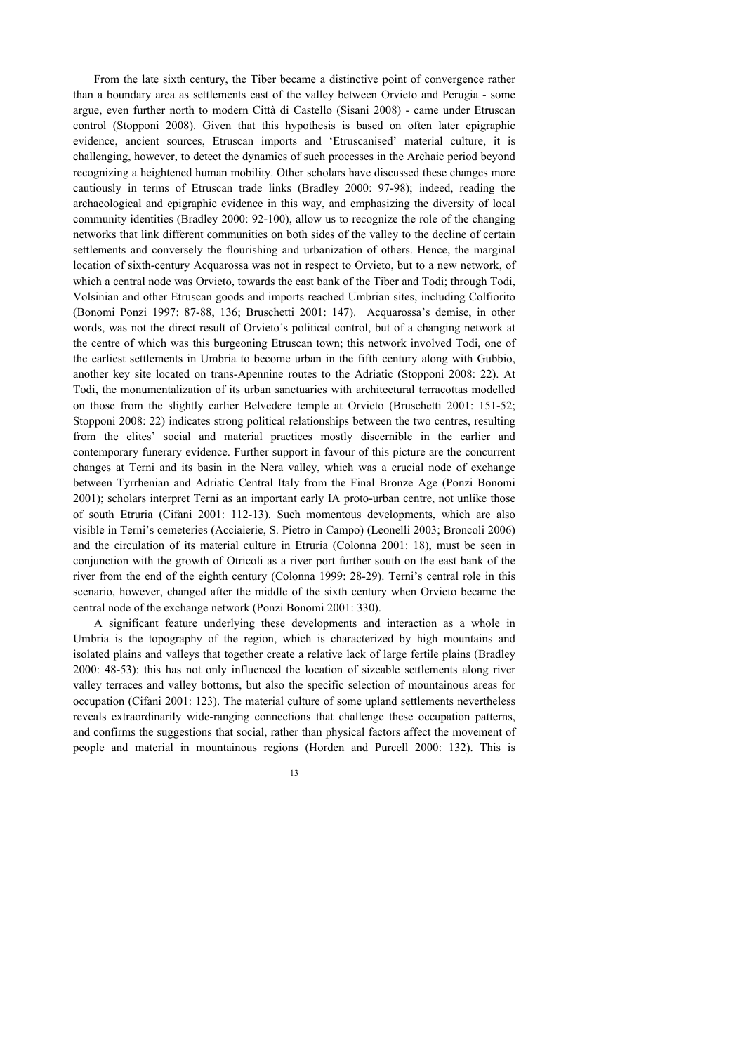From the late sixth century, the Tiber became a distinctive point of convergence rather than a boundary area as settlements east of the valley between Orvieto and Perugia - some argue, even further north to modern Città di Castello (Sisani 2008) - came under Etruscan control (Stopponi 2008). Given that this hypothesis is based on often later epigraphic evidence, ancient sources, Etruscan imports and 'Etruscanised' material culture, it is challenging, however, to detect the dynamics of such processes in the Archaic period beyond recognizing a heightened human mobility. Other scholars have discussed these changes more cautiously in terms of Etruscan trade links (Bradley 2000: 97-98); indeed, reading the archaeological and epigraphic evidence in this way, and emphasizing the diversity of local community identities (Bradley 2000: 92-100), allow us to recognize the role of the changing networks that link different communities on both sides of the valley to the decline of certain settlements and conversely the flourishing and urbanization of others. Hence, the marginal location of sixth-century Acquarossa was not in respect to Orvieto, but to a new network, of which a central node was Orvieto, towards the east bank of the Tiber and Todi; through Todi, Volsinian and other Etruscan goods and imports reached Umbrian sites, including Colfiorito (Bonomi Ponzi 1997: 87-88, 136; Bruschetti 2001: 147). Acquarossa's demise, in other words, was not the direct result of Orvieto's political control, but of a changing network at the centre of which was this burgeoning Etruscan town; this network involved Todi, one of the earliest settlements in Umbria to become urban in the fifth century along with Gubbio, another key site located on trans-Apennine routes to the Adriatic (Stopponi 2008: 22). At Todi, the monumentalization of its urban sanctuaries with architectural terracottas modelled on those from the slightly earlier Belvedere temple at Orvieto (Bruschetti 2001: 151-52; Stopponi 2008: 22) indicates strong political relationships between the two centres, resulting from the elites' social and material practices mostly discernible in the earlier and contemporary funerary evidence. Further support in favour of this picture are the concurrent changes at Terni and its basin in the Nera valley, which was a crucial node of exchange between Tyrrhenian and Adriatic Central Italy from the Final Bronze Age (Ponzi Bonomi 2001); scholars interpret Terni as an important early IA proto-urban centre, not unlike those of south Etruria (Cifani 2001: 112-13). Such momentous developments, which are also visible in Terni's cemeteries (Acciaierie, S. Pietro in Campo) (Leonelli 2003; Broncoli 2006) and the circulation of its material culture in Etruria (Colonna 2001: 18), must be seen in conjunction with the growth of Otricoli as a river port further south on the east bank of the river from the end of the eighth century (Colonna 1999: 28-29). Terni's central role in this scenario, however, changed after the middle of the sixth century when Orvieto became the central node of the exchange network (Ponzi Bonomi 2001: 330).

A significant feature underlying these developments and interaction as a whole in Umbria is the topography of the region, which is characterized by high mountains and isolated plains and valleys that together create a relative lack of large fertile plains (Bradley 2000: 48-53): this has not only influenced the location of sizeable settlements along river valley terraces and valley bottoms, but also the specific selection of mountainous areas for occupation (Cifani 2001: 123). The material culture of some upland settlements nevertheless reveals extraordinarily wide-ranging connections that challenge these occupation patterns, and confirms the suggestions that social, rather than physical factors affect the movement of people and material in mountainous regions (Horden and Purcell 2000: 132). This is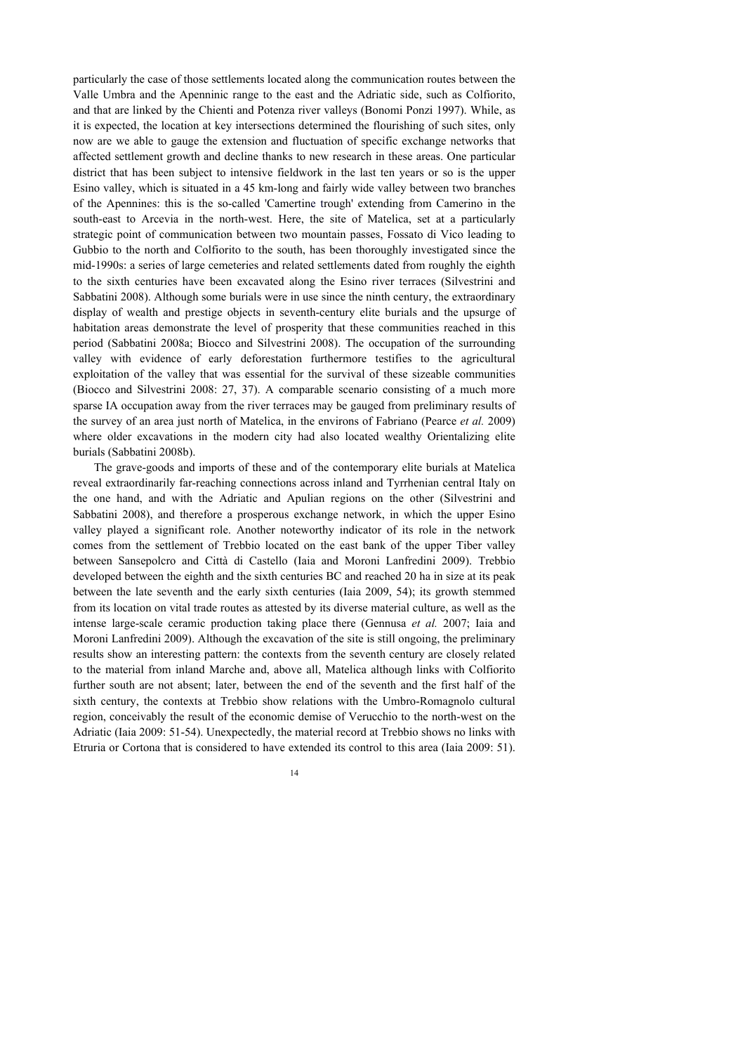particularly the case of those settlements located along the communication routes between the Valle Umbra and the Apenninic range to the east and the Adriatic side, such as Colfiorito, and that are linked by the Chienti and Potenza river valleys (Bonomi Ponzi 1997). While, as it is expected, the location at key intersections determined the flourishing of such sites, only now are we able to gauge the extension and fluctuation of specific exchange networks that affected settlement growth and decline thanks to new research in these areas. One particular district that has been subject to intensive fieldwork in the last ten years or so is the upper Esino valley, which is situated in a 45 km-long and fairly wide valley between two branches of the Apennines: this is the so-called 'Camertine trough' extending from Camerino in the south-east to Arcevia in the north-west. Here, the site of Matelica, set at a particularly strategic point of communication between two mountain passes, Fossato di Vico leading to Gubbio to the north and Colfiorito to the south, has been thoroughly investigated since the mid-1990s: a series of large cemeteries and related settlements dated from roughly the eighth to the sixth centuries have been excavated along the Esino river terraces (Silvestrini and Sabbatini 2008). Although some burials were in use since the ninth century, the extraordinary display of wealth and prestige objects in seventh-century elite burials and the upsurge of habitation areas demonstrate the level of prosperity that these communities reached in this period (Sabbatini 2008a; Biocco and Silvestrini 2008). The occupation of the surrounding valley with evidence of early deforestation furthermore testifies to the agricultural exploitation of the valley that was essential for the survival of these sizeable communities (Biocco and Silvestrini 2008: 27, 37). A comparable scenario consisting of a much more sparse IA occupation away from the river terraces may be gauged from preliminary results of the survey of an area just north of Matelica, in the environs of Fabriano (Pearce *et al.* 2009) where older excavations in the modern city had also located wealthy Orientalizing elite burials (Sabbatini 2008b).

The grave-goods and imports of these and of the contemporary elite burials at Matelica reveal extraordinarily far-reaching connections across inland and Tyrrhenian central Italy on the one hand, and with the Adriatic and Apulian regions on the other (Silvestrini and Sabbatini 2008), and therefore a prosperous exchange network, in which the upper Esino valley played a significant role. Another noteworthy indicator of its role in the network comes from the settlement of Trebbio located on the east bank of the upper Tiber valley between Sansepolcro and Città di Castello (Iaia and Moroni Lanfredini 2009). Trebbio developed between the eighth and the sixth centuries BC and reached 20 ha in size at its peak between the late seventh and the early sixth centuries (Iaia 2009, 54); its growth stemmed from its location on vital trade routes as attested by its diverse material culture, as well as the intense large-scale ceramic production taking place there (Gennusa *et al.* 2007; Iaia and Moroni Lanfredini 2009). Although the excavation of the site is still ongoing, the preliminary results show an interesting pattern: the contexts from the seventh century are closely related to the material from inland Marche and, above all, Matelica although links with Colfiorito further south are not absent; later, between the end of the seventh and the first half of the sixth century, the contexts at Trebbio show relations with the Umbro-Romagnolo cultural region, conceivably the result of the economic demise of Verucchio to the north-west on the Adriatic (Iaia 2009: 51-54). Unexpectedly, the material record at Trebbio shows no links with Etruria or Cortona that is considered to have extended its control to this area (Iaia 2009: 51).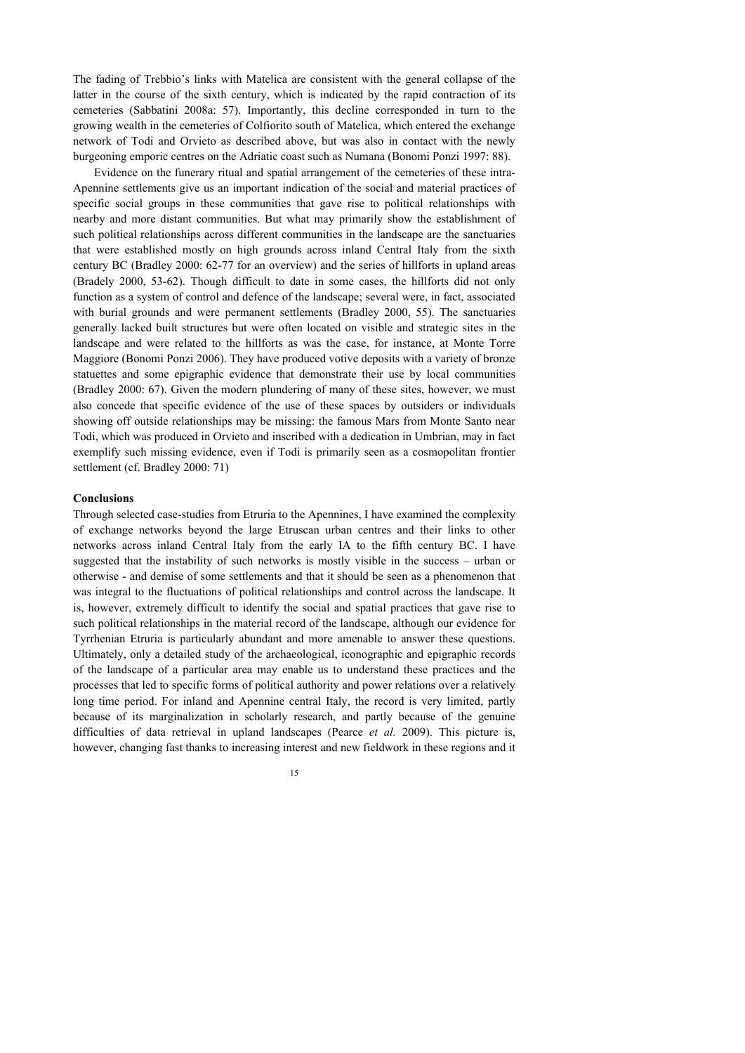The fading of Trebbio's links with Matelica are consistent with the general collapse of the latter in the course of the sixth century, which is indicated by the rapid contraction of its cemeteries (Sabbatini 2008a: 57). Importantly, this decline corresponded in turn to the growing wealth in the cemeteries of Colfiorito south of Matelica, which entered the exchange network of Todi and Orvieto as described above, but was also in contact with the newly burgeoning emporic centres on the Adriatic coast such as Numana (Bonomi Ponzi 1997: 88).

Evidence on the funerary ritual and spatial arrangement of the cemeteries of these intra-Apennine settlements give us an important indication of the social and material practices of specific social groups in these communities that gave rise to political relationships with nearby and more distant communities. But what may primarily show the establishment of such political relationships across different communities in the landscape are the sanctuaries that were established mostly on high grounds across inland Central Italy from the sixth century BC (Bradley 2000: 62-77 for an overview) and the series of hillforts in upland areas (Bradely 2000, 53-62). Though difficult to date in some cases, the hillforts did not only function as a system of control and defence of the landscape; several were, in fact, associated with burial grounds and were permanent settlements (Bradley 2000, 55). The sanctuaries generally lacked built structures but were often located on visible and strategic sites in the landscape and were related to the hillforts as was the case, for instance, at Monte Torre Maggiore (Bonomi Ponzi 2006). They have produced votive deposits with a variety of bronze statuettes and some epigraphic evidence that demonstrate their use by local communities (Bradley 2000: 67). Given the modern plundering of many of these sites, however, we must also concede that specific evidence of the use of these spaces by outsiders or individuals showing off outside relationships may be missing: the famous Mars from Monte Santo near Todi, which was produced in Orvieto and inscribed with a dedication in Umbrian, may in fact exemplify such missing evidence, even if Todi is primarily seen as a cosmopolitan frontier settlement (cf. Bradley 2000: 71)

### **Conclusions**

Through selected case-studies from Etruria to the Apennines, I have examined the complexity of exchange networks beyond the large Etruscan urban centres and their links to other networks across inland Central Italy from the early IA to the fifth century BC. I have suggested that the instability of such networks is mostly visible in the success – urban or otherwise - and demise of some settlements and that it should be seen as a phenomenon that was integral to the fluctuations of political relationships and control across the landscape. It is, however, extremely difficult to identify the social and spatial practices that gave rise to such political relationships in the material record of the landscape, although our evidence for Tyrrhenian Etruria is particularly abundant and more amenable to answer these questions. Ultimately, only a detailed study of the archaeological, iconographic and epigraphic records of the landscape of a particular area may enable us to understand these practices and the processes that led to specific forms of political authority and power relations over a relatively long time period. For inland and Apennine central Italy, the record is very limited, partly because of its marginalization in scholarly research, and partly because of the genuine difficulties of data retrieval in upland landscapes (Pearce *et al.* 2009). This picture is, however, changing fast thanks to increasing interest and new fieldwork in these regions and it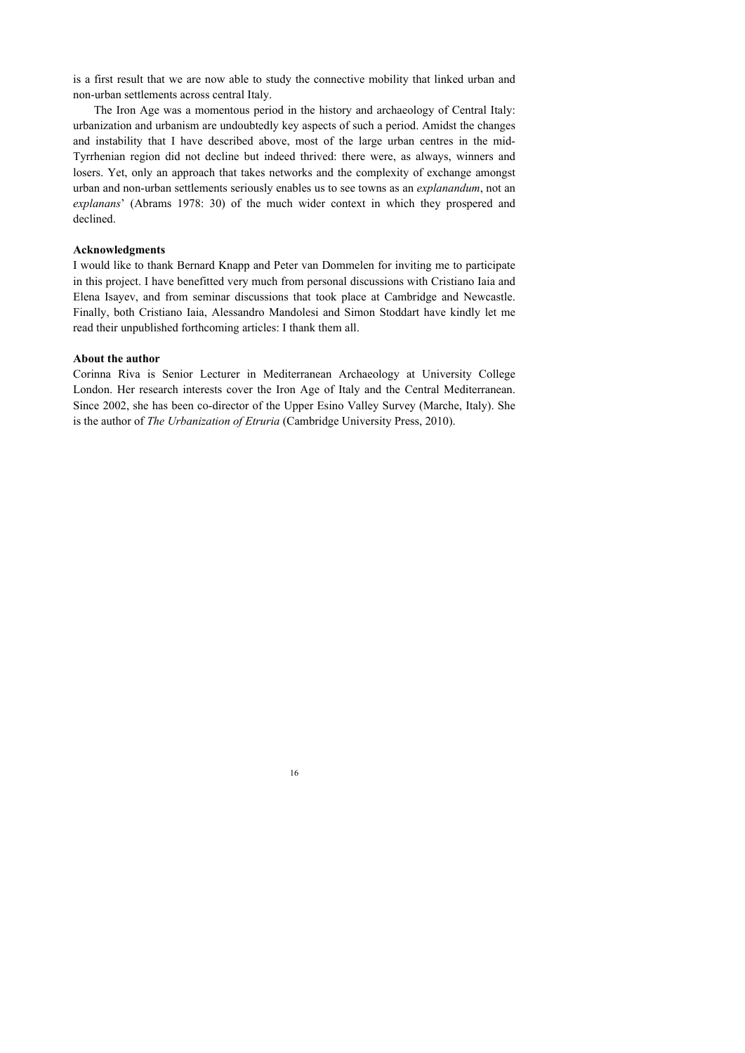is a first result that we are now able to study the connective mobility that linked urban and non-urban settlements across central Italy.

The Iron Age was a momentous period in the history and archaeology of Central Italy: urbanization and urbanism are undoubtedly key aspects of such a period. Amidst the changes and instability that I have described above, most of the large urban centres in the mid-Tyrrhenian region did not decline but indeed thrived: there were, as always, winners and losers. Yet, only an approach that takes networks and the complexity of exchange amongst urban and non-urban settlements seriously enables us to see towns as an *explanandum*, not an *explanans*' (Abrams 1978: 30) of the much wider context in which they prospered and declined.

### **Acknowledgments**

I would like to thank Bernard Knapp and Peter van Dommelen for inviting me to participate in this project. I have benefitted very much from personal discussions with Cristiano Iaia and Elena Isayev, and from seminar discussions that took place at Cambridge and Newcastle. Finally, both Cristiano Iaia, Alessandro Mandolesi and Simon Stoddart have kindly let me read their unpublished forthcoming articles: I thank them all.

#### **About the author**

Corinna Riva is Senior Lecturer in Mediterranean Archaeology at University College London. Her research interests cover the Iron Age of Italy and the Central Mediterranean. Since 2002, she has been co-director of the Upper Esino Valley Survey (Marche, Italy). She is the author of *The Urbanization of Etruria* (Cambridge University Press, 2010).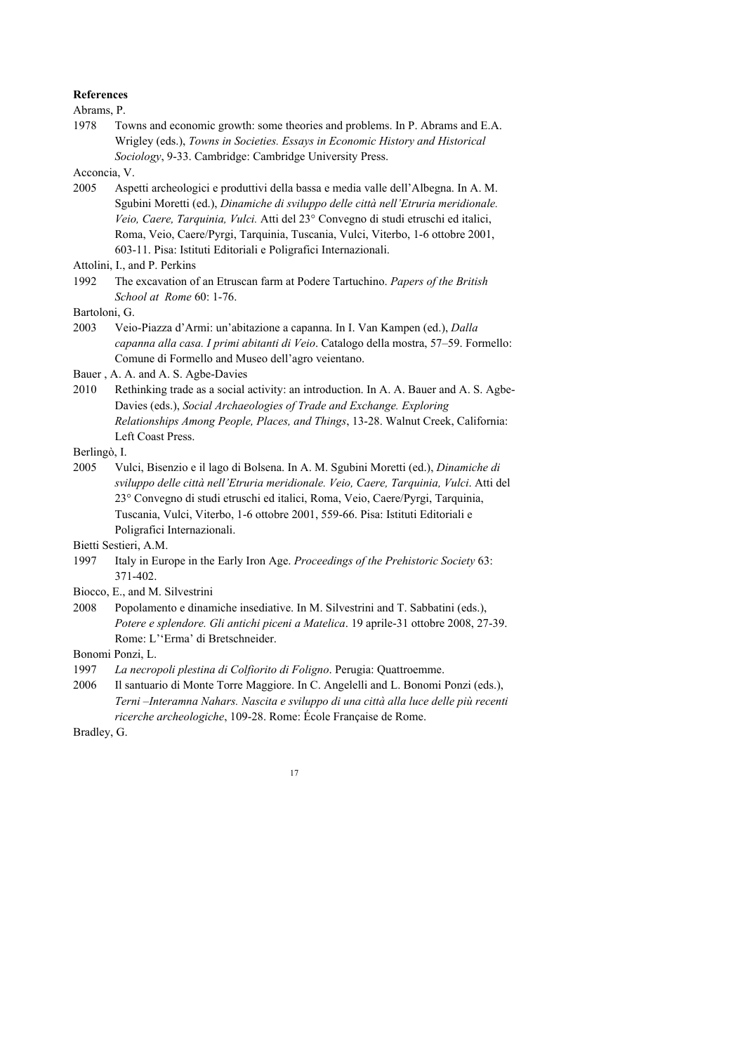#### **References**

Abrams, P.

1978 Towns and economic growth: some theories and problems. In P. Abrams and E.A. Wrigley (eds.), *Towns in Societies. Essays in Economic History and Historical Sociology*, 9-33. Cambridge: Cambridge University Press.

Acconcia, V.

2005 Aspetti archeologici e produttivi della bassa e media valle dell'Albegna. In A. M. Sgubini Moretti (ed.), *Dinamiche di sviluppo delle città nell'Etruria meridionale. Veio, Caere, Tarquinia, Vulci.* Atti del 23° Convegno di studi etruschi ed italici, Roma, Veio, Caere/Pyrgi, Tarquinia, Tuscania, Vulci, Viterbo, 1-6 ottobre 2001, 603-11. Pisa: Istituti Editoriali e Poligrafici Internazionali.

1992 The excavation of an Etruscan farm at Podere Tartuchino. *Papers of the British School at Rome* 60: 1-76.

Bartoloni, G.

2003 Veio-Piazza d'Armi: un'abitazione a capanna. In I. Van Kampen (ed.), *Dalla capanna alla casa. I primi abitanti di Veio*. Catalogo della mostra, 57–59. Formello: Comune di Formello and Museo dell'agro veientano.

Bauer , A. A. and A. S. Agbe-Davies

2010 Rethinking trade as a social activity: an introduction. In A. A. Bauer and A. S. Agbe-Davies (eds.), *Social Archaeologies of Trade and Exchange. Exploring Relationships Among People, Places, and Things*, 13-28. Walnut Creek, California: Left Coast Press.

Berlingò, I.

- 2005 Vulci, Bisenzio e il lago di Bolsena. In A. M. Sgubini Moretti (ed.), *Dinamiche di sviluppo delle città nell'Etruria meridionale. Veio, Caere, Tarquinia, Vulci*. Atti del 23° Convegno di studi etruschi ed italici, Roma, Veio, Caere/Pyrgi, Tarquinia, Tuscania, Vulci, Viterbo, 1-6 ottobre 2001, 559-66. Pisa: Istituti Editoriali e Poligrafici Internazionali.
- Bietti Sestieri, A.M.
- 1997 Italy in Europe in the Early Iron Age. *Proceedings of the Prehistoric Society* 63: 371-402.
- Biocco, E., and M. Silvestrini
- 2008 Popolamento e dinamiche insediative. In M. Silvestrini and T. Sabbatini (eds.), *Potere e splendore. Gli antichi piceni a Matelica*. 19 aprile-31 ottobre 2008, 27-39. Rome: L''Erma' di Bretschneider.
- Bonomi Ponzi, L.
- 1997 *La necropoli plestina di Colfiorito di Foligno*. Perugia: Quattroemme.
- 2006 Il santuario di Monte Torre Maggiore. In C. Angelelli and L. Bonomi Ponzi (eds.), *Terni –Interamna Nahars. Nascita e sviluppo di una città alla luce delle più recenti ricerche archeologiche*, 109-28. Rome: École Française de Rome.

Bradley, G.

Attolini, I., and P. Perkins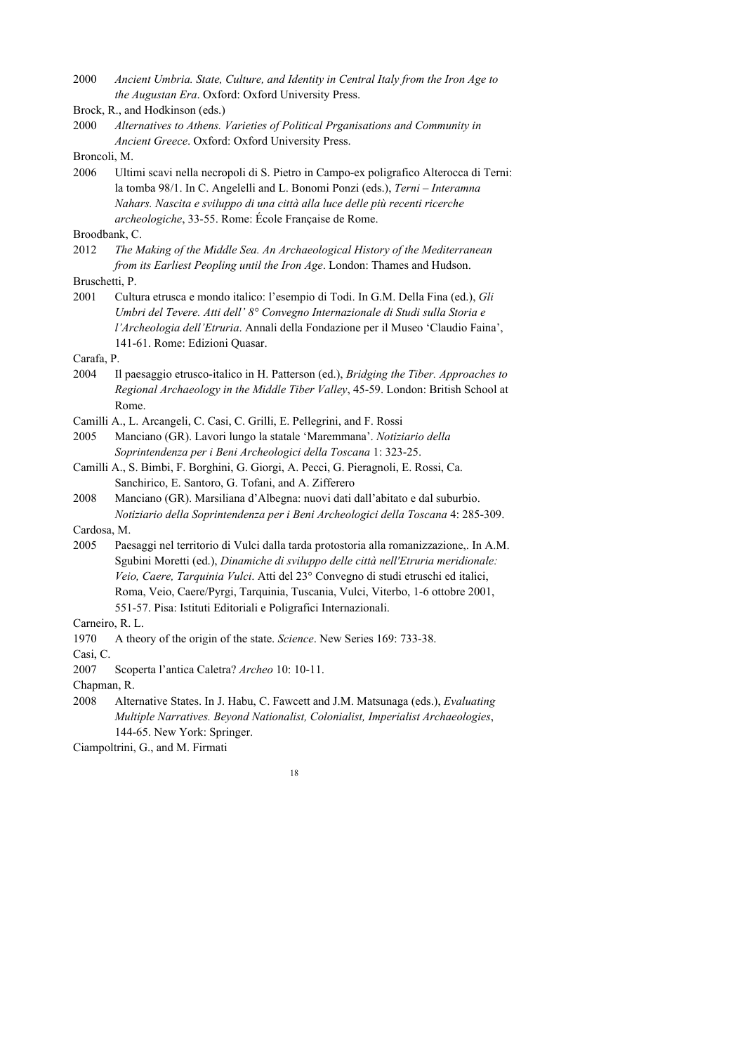2000 *Ancient Umbria. State, Culture, and Identity in Central Italy from the Iron Age to the Augustan Era*. Oxford: Oxford University Press.

2000 *Alternatives to Athens. Varieties of Political Prganisations and Community in Ancient Greece*. Oxford: Oxford University Press.

Broncoli, M.

2006 Ultimi scavi nella necropoli di S. Pietro in Campo-ex poligrafico Alterocca di Terni: la tomba 98/1. In C. Angelelli and L. Bonomi Ponzi (eds.), *Terni – Interamna Nahars. Nascita e sviluppo di una città alla luce delle più recenti ricerche archeologiche*, 33-55. Rome: École Française de Rome.

Broodbank, C.

2012 *The Making of the Middle Sea. An Archaeological History of the Mediterranean from its Earliest Peopling until the Iron Age*. London: Thames and Hudson.

Bruschetti, P.

2001 Cultura etrusca e mondo italico: l'esempio di Todi. In G.M. Della Fina (ed.), *Gli Umbri del Tevere. Atti dell' 8° Convegno Internazionale di Studi sulla Storia e l'Archeologia dell'Etruria*. Annali della Fondazione per il Museo 'Claudio Faina', 141-61. Rome: Edizioni Quasar.

Carafa, P.

- 2004 Il paesaggio etrusco-italico in H. Patterson (ed.), *Bridging the Tiber. Approaches to Regional Archaeology in the Middle Tiber Valley*, 45-59. London: British School at Rome.
- Camilli A., L. Arcangeli, C. Casi, C. Grilli, E. Pellegrini, and F. Rossi
- 2005 Manciano (GR). Lavori lungo la statale 'Maremmana'. *Notiziario della Soprintendenza per i Beni Archeologici della Toscana* 1: 323-25.
- Camilli A., S. Bimbi, F. Borghini, G. Giorgi, A. Pecci, G. Pieragnoli, E. Rossi, Ca. Sanchirico, E. Santoro, G. Tofani, and A. Zifferero
- 2008 Manciano (GR). Marsiliana d'Albegna: nuovi dati dall'abitato e dal suburbio. *Notiziario della Soprintendenza per i Beni Archeologici della Toscana* 4: 285-309.

Cardosa, M.

2005 Paesaggi nel territorio di Vulci dalla tarda protostoria alla romanizzazione,. In A.M. Sgubini Moretti (ed.), *Dinamiche di sviluppo delle città nell'Etruria meridionale: Veio, Caere, Tarquinia Vulci*. Atti del 23° Convegno di studi etruschi ed italici, Roma, Veio, Caere/Pyrgi, Tarquinia, Tuscania, Vulci, Viterbo, 1-6 ottobre 2001, 551-57. Pisa: Istituti Editoriali e Poligrafici Internazionali.

Carneiro, R. L.

1970 A theory of the origin of the state. *Science*. New Series 169: 733-38.

Casi, C.

2007 Scoperta l'antica Caletra? *Archeo* 10: 10-11.

Chapman, R.

2008 Alternative States. In J. Habu, C. Fawcett and J.M. Matsunaga (eds.), *Evaluating Multiple Narratives. Beyond Nationalist, Colonialist, Imperialist Archaeologies*, 144-65. New York: Springer.

Ciampoltrini, G., and M. Firmati



Brock, R., and Hodkinson (eds.)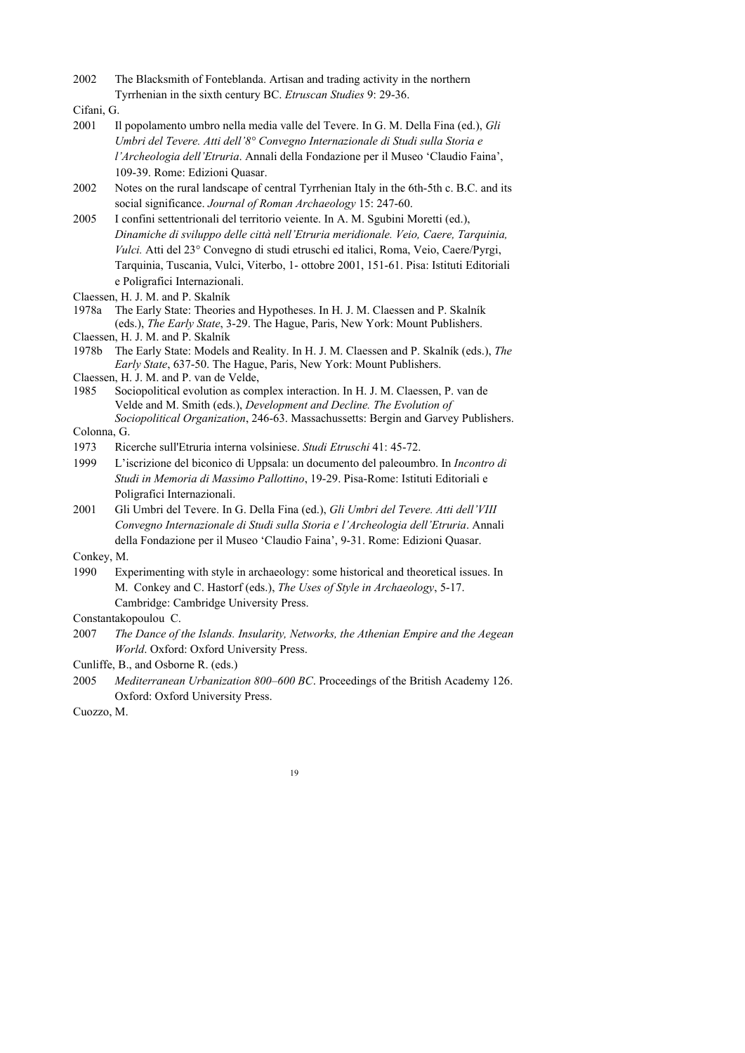2002 The Blacksmith of Fonteblanda. Artisan and trading activity in the northern Tyrrhenian in the sixth century BC. *Etruscan Studies* 9: 29-36.

Cifani, G.

- 2001 Il popolamento umbro nella media valle del Tevere. In G. M. Della Fina (ed.), *Gli Umbri del Tevere. Atti dell'8° Convegno Internazionale di Studi sulla Storia e l'Archeologia dell'Etruria*. Annali della Fondazione per il Museo 'Claudio Faina', 109-39. Rome: Edizioni Quasar.
- 2002 Notes on the rural landscape of central Tyrrhenian Italy in the 6th-5th c. B.C. and its social significance. *Journal of Roman Archaeology* 15: 247-60.
- 2005 I confini settentrionali del territorio veiente. In A. M. Sgubini Moretti (ed.), *Dinamiche di sviluppo delle città nell'Etruria meridionale. Veio, Caere, Tarquinia, Vulci.* Atti del 23° Convegno di studi etruschi ed italici, Roma, Veio, Caere/Pyrgi, Tarquinia, Tuscania, Vulci, Viterbo, 1- ottobre 2001, 151-61. Pisa: Istituti Editoriali e Poligrafici Internazionali.

Claessen, H. J. M. and P. Skalník

- 1978a The Early State: Theories and Hypotheses. In H. J. M. Claessen and P. Skalník (eds.), *The Early State*, 3-29. The Hague, Paris, New York: Mount Publishers. Claessen, H. J. M. and P. Skalník
- 
- 1978b The Early State: Models and Reality. In H. J. M. Claessen and P. Skalník (eds.), *The Early State*, 637-50. The Hague, Paris, New York: Mount Publishers. Claessen, H. J. M. and P. van de Velde,
- 1985 Sociopolitical evolution as complex interaction. In H. J. M. Claessen, P. van de Velde and M. Smith (eds.), *Development and Decline. The Evolution of Sociopolitical Organization*, 246-63. Massachussetts: Bergin and Garvey Publishers.

Colonna, G.

- 1973 Ricerche sull'Etruria interna volsiniese. *Studi Etruschi* 41: 45-72.
- 1999 L'iscrizione del biconico di Uppsala: un documento del paleoumbro. In *Incontro di Studi in Memoria di Massimo Pallottino*, 19-29. Pisa-Rome: Istituti Editoriali e Poligrafici Internazionali.
- 2001 Gli Umbri del Tevere. In G. Della Fina (ed.), *Gli Umbri del Tevere. Atti dell'VIII Convegno Internazionale di Studi sulla Storia e l'Archeologia dell'Etruria*. Annali della Fondazione per il Museo 'Claudio Faina', 9-31. Rome: Edizioni Quasar.

Conkey, M.

1990 Experimenting with style in archaeology: some historical and theoretical issues. In M. Conkey and C. Hastorf (eds.), *The Uses of Style in Archaeology*, 5-17. Cambridge: Cambridge University Press.

Constantakopoulou C.

2007 *The Dance of the Islands. Insularity, Networks, the Athenian Empire and the Aegean World*. Oxford: Oxford University Press.

Cunliffe, B., and Osborne R. (eds.)

2005 *Mediterranean Urbanization 800–600 BC*. Proceedings of the British Academy 126. Oxford: Oxford University Press.

Cuozzo, M.

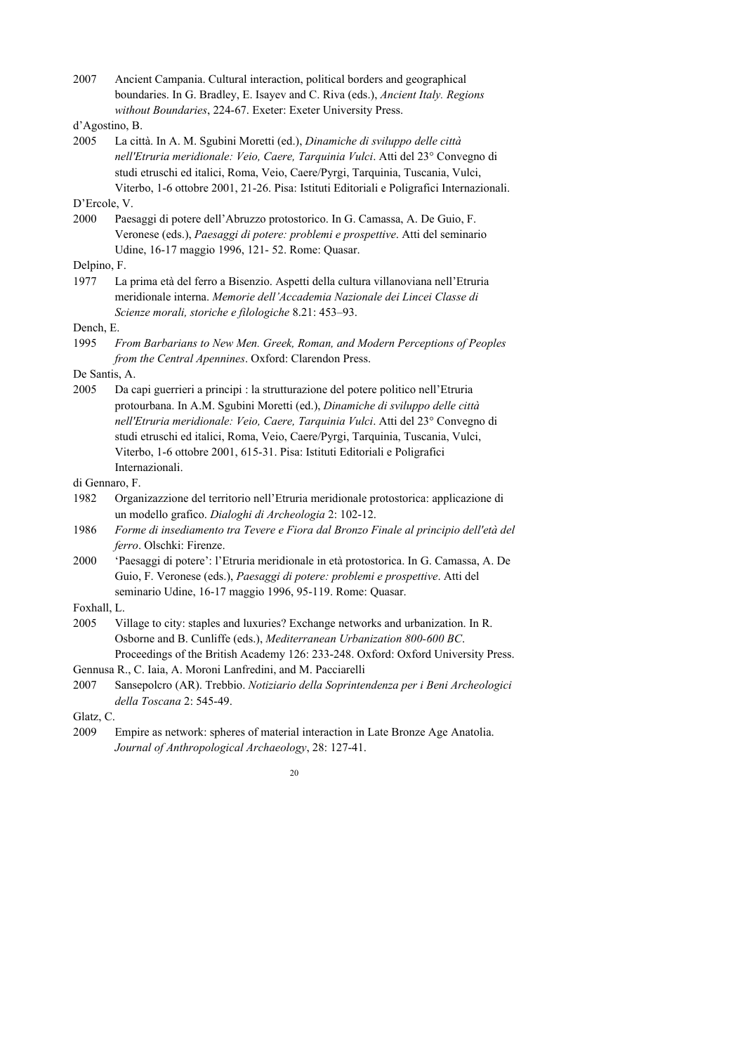2007 Ancient Campania. Cultural interaction, political borders and geographical boundaries. In G. Bradley, E. Isayev and C. Riva (eds.), *Ancient Italy. Regions without Boundaries*, 224-67. Exeter: Exeter University Press.

2005 La città. In A. M. Sgubini Moretti (ed.), *Dinamiche di sviluppo delle città nell'Etruria meridionale: Veio, Caere, Tarquinia Vulci*. Atti del 23° Convegno di studi etruschi ed italici, Roma, Veio, Caere/Pyrgi, Tarquinia, Tuscania, Vulci, Viterbo, 1-6 ottobre 2001, 21-26. Pisa: Istituti Editoriali e Poligrafici Internazionali.

D'Ercole, V.

2000 Paesaggi di potere dell'Abruzzo protostorico. In G. Camassa, A. De Guio, F. Veronese (eds.), *Paesaggi di potere: problemi e prospettive*. Atti del seminario Udine, 16-17 maggio 1996, 121- 52. Rome: Quasar.

Delpino, F.

1977 La prima età del ferro a Bisenzio. Aspetti della cultura villanoviana nell'Etruria meridionale interna. *Memorie dell'Accademia Nazionale dei Lincei Classe di Scienze morali, storiche e filologiche* 8.21: 453–93.

Dench, E.

1995 *From Barbarians to New Men. Greek, Roman, and Modern Perceptions of Peoples from the Central Apennines*. Oxford: Clarendon Press.

De Santis, A.

2005 Da capi guerrieri a principi : la strutturazione del potere politico nell'Etruria protourbana. In A.M. Sgubini Moretti (ed.), *Dinamiche di sviluppo delle città nell'Etruria meridionale: Veio, Caere, Tarquinia Vulci*. Atti del 23° Convegno di studi etruschi ed italici, Roma, Veio, Caere/Pyrgi, Tarquinia, Tuscania, Vulci, Viterbo, 1-6 ottobre 2001, 615-31. Pisa: Istituti Editoriali e Poligrafici Internazionali.

di Gennaro, F.

- 1982 Organizazzione del territorio nell'Etruria meridionale protostorica: applicazione di un modello grafico. *Dialoghi di Archeologia* 2: 102-12.
- 1986 *Forme di insediamento tra Tevere e Fiora dal Bronzo Finale al principio dell'età del ferro*. Olschki: Firenze.
- 2000 'Paesaggi di potere': l'Etruria meridionale in età protostorica. In G. Camassa, A. De Guio, F. Veronese (eds.), *Paesaggi di potere: problemi e prospettive*. Atti del seminario Udine, 16-17 maggio 1996, 95-119. Rome: Quasar.

Foxhall, L.

- 2005 Village to city: staples and luxuries? Exchange networks and urbanization. In R. Osborne and B. Cunliffe (eds.), *Mediterranean Urbanization 800-600 BC*. Proceedings of the British Academy 126: 233-248. Oxford: Oxford University Press.
- Gennusa R., C. Iaia, A. Moroni Lanfredini, and M. Pacciarelli
- 2007 Sansepolcro (AR). Trebbio. *Notiziario della Soprintendenza per i Beni Archeologici della Toscana* 2: 545-49.

Glatz, C.

2009 Empire as network: spheres of material interaction in Late Bronze Age Anatolia. *Journal of Anthropological Archaeology*, 28: 127-41.

d'Agostino, B.

<sup>20</sup>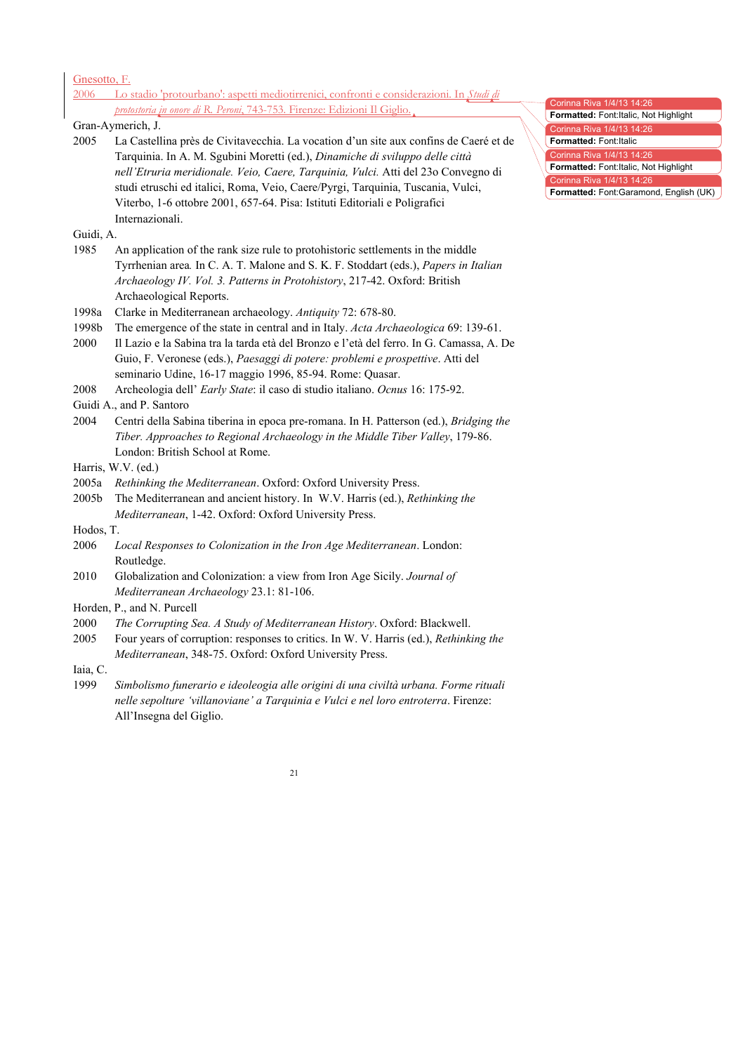| Gnesotto, F.  |                                                                                                                                                                                                                                                                                                                                                                                                                                                |
|---------------|------------------------------------------------------------------------------------------------------------------------------------------------------------------------------------------------------------------------------------------------------------------------------------------------------------------------------------------------------------------------------------------------------------------------------------------------|
|               | 2006 Lo stadio 'protourbano': aspetti mediotirrenici, confronti e considerazioni. In Studi di                                                                                                                                                                                                                                                                                                                                                  |
|               | protostoria in onore di R. Peroni, 743-753. Firenze: Edizioni Il Giglio.                                                                                                                                                                                                                                                                                                                                                                       |
|               | Gran-Aymerich, J.                                                                                                                                                                                                                                                                                                                                                                                                                              |
| 2005          | La Castellina près de Civitavecchia. La vocation d'un site aux confins de Caeré et de<br>Tarquinia. In A. M. Sgubini Moretti (ed.), Dinamiche di sviluppo delle città<br>nell'Etruria meridionale. Veio, Caere, Tarquinia, Vulci. Atti del 23º Convegno di<br>studi etruschi ed italici, Roma, Veio, Caere/Pyrgi, Tarquinia, Tuscania, Vulci,<br>Viterbo, 1-6 ottobre 2001, 657-64. Pisa: Istituti Editoriali e Poligrafici<br>Internazionali. |
| Guidi, A.     |                                                                                                                                                                                                                                                                                                                                                                                                                                                |
| 1985          | An application of the rank size rule to protohistoric settlements in the middle<br>Tyrrhenian area. In C. A. T. Malone and S. K. F. Stoddart (eds.), Papers in Italian<br>Archaeology IV. Vol. 3. Patterns in Protohistory, 217-42. Oxford: British<br>Archaeological Reports.                                                                                                                                                                 |
| 1998a         | Clarke in Mediterranean archaeology. Antiquity 72: 678-80.                                                                                                                                                                                                                                                                                                                                                                                     |
| 1998b<br>2000 | The emergence of the state in central and in Italy. Acta Archaeologica 69: 139-61.<br>Il Lazio e la Sabina tra la tarda età del Bronzo e l'età del ferro. In G. Camassa, A. De<br>Guio, F. Veronese (eds.), Paesaggi di potere: problemi e prospettive. Atti del<br>seminario Udine, 16-17 maggio 1996, 85-94. Rome: Quasar.                                                                                                                   |
| 2008          | Archeologia dell' Early State: il caso di studio italiano. Ocnus 16: 175-92.                                                                                                                                                                                                                                                                                                                                                                   |
|               | Guidi A., and P. Santoro                                                                                                                                                                                                                                                                                                                                                                                                                       |
| 2004          | Centri della Sabina tiberina in epoca pre-romana. In H. Patterson (ed.), Bridging the<br>Tiber. Approaches to Regional Archaeology in the Middle Tiber Valley, 179-86.<br>London: British School at Rome.                                                                                                                                                                                                                                      |
|               | Harris, W.V. (ed.)                                                                                                                                                                                                                                                                                                                                                                                                                             |
|               | 2005a Rethinking the Mediterranean. Oxford: Oxford University Press.                                                                                                                                                                                                                                                                                                                                                                           |
| 2005b         | The Mediterranean and ancient history. In W.V. Harris (ed.), Rethinking the                                                                                                                                                                                                                                                                                                                                                                    |
|               | Mediterranean, 1-42. Oxford: Oxford University Press.                                                                                                                                                                                                                                                                                                                                                                                          |
| Hodos, T.     |                                                                                                                                                                                                                                                                                                                                                                                                                                                |
| 2006          | Local Responses to Colonization in the Iron Age Mediterranean. London:<br>Routledge.                                                                                                                                                                                                                                                                                                                                                           |
| 2010          | Globalization and Colonization: a view from Iron Age Sicily. Journal of<br>Mediterranean Archaeology 23.1: 81-106.                                                                                                                                                                                                                                                                                                                             |
|               | Horden, P., and N. Purcell                                                                                                                                                                                                                                                                                                                                                                                                                     |
| 2000<br>2005  | The Corrupting Sea. A Study of Mediterranean History. Oxford: Blackwell.<br>Four years of corruption: responses to critics. In W. V. Harris (ed.), Rethinking the<br>Mediterranean, 348-75. Oxford: Oxford University Press.                                                                                                                                                                                                                   |
| Iaia, C.      |                                                                                                                                                                                                                                                                                                                                                                                                                                                |
| 1999          | Simbolismo funerario e ideoleogia alle origini di una civiltà urbana. Forme rituali<br>nelle sepolture 'villanoviane' a Tarquinia e Vulci e nel loro entroterra. Firenze:<br>All'Insegna del Giglio.                                                                                                                                                                                                                                           |
|               | 21                                                                                                                                                                                                                                                                                                                                                                                                                                             |

**Formatted:** Font:Italic, Not Highlight Corinna Riva 1/4/13 14:26 **Formatted:** Font:Italic Corinna Riva 1/4/13 14:26 **Formatted:** Font:Italic, Not Highlight

Corinna Riva 1/4/13 14:26

Corinna Riva 1/4/13 14:26 **Formatted:** Font:Garamond, English (UK)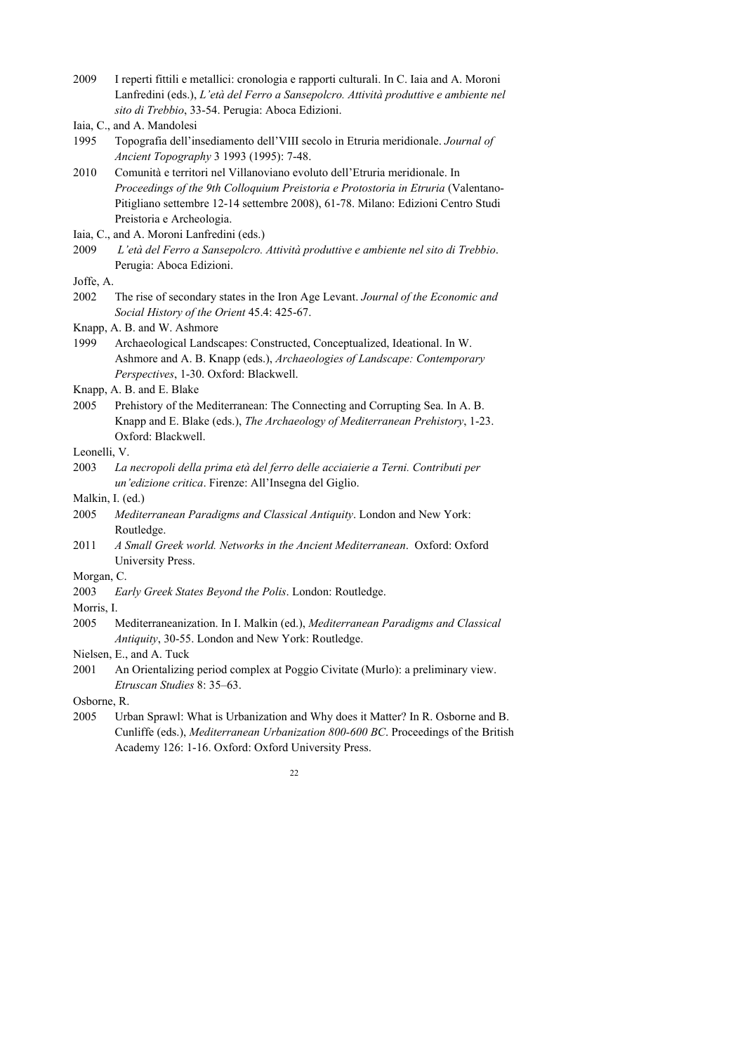2009 I reperti fittili e metallici: cronologia e rapporti culturali. In C. Iaia and A. Moroni Lanfredini (eds.), *L'età del Ferro a Sansepolcro. Attività produttive e ambiente nel sito di Trebbio*, 33-54. Perugia: Aboca Edizioni.

- 1995 Topografia dell'insediamento dell'VIII secolo in Etruria meridionale. *Journal of Ancient Topography* 3 1993 (1995): 7-48.
- 2010 Comunità e territori nel Villanoviano evoluto dell'Etruria meridionale. In *Proceedings of the 9th Colloquium Preistoria e Protostoria in Etruria* (Valentano-Pitigliano settembre 12-14 settembre 2008), 61-78. Milano: Edizioni Centro Studi Preistoria e Archeologia.

Iaia, C., and A. Moroni Lanfredini (eds.)

2009 *L'età del Ferro a Sansepolcro. Attività produttive e ambiente nel sito di Trebbio*. Perugia: Aboca Edizioni.

```
Joffe, A.
```
2002 The rise of secondary states in the Iron Age Levant. *Journal of the Economic and Social History of the Orient* 45.4: 425-67.

- 1999 Archaeological Landscapes: Constructed, Conceptualized, Ideational. In W. Ashmore and A. B. Knapp (eds.), *Archaeologies of Landscape: Contemporary Perspectives*, 1-30. Oxford: Blackwell.
- Knapp, A. B. and E. Blake
- 2005 Prehistory of the Mediterranean: The Connecting and Corrupting Sea. In A. B. Knapp and E. Blake (eds.), *The Archaeology of Mediterranean Prehistory*, 1-23. Oxford: Blackwell.

Leonelli, V.

2003 *La necropoli della prima età del ferro delle acciaierie a Terni. Contributi per un'edizione critica*. Firenze: All'Insegna del Giglio.

Malkin, I. (ed.)

- 2005 *Mediterranean Paradigms and Classical Antiquity*. London and New York: Routledge.
- 2011 *A Small Greek world. Networks in the Ancient Mediterranean*. Oxford: Oxford University Press.
- Morgan, C.
- 2003 *Early Greek States Beyond the Polis*. London: Routledge.
- Morris, I.
- 2005 Mediterraneanization. In I. Malkin (ed.), *Mediterranean Paradigms and Classical Antiquity*, 30-55. London and New York: Routledge.
- Nielsen, E., and A. Tuck
- 2001 An Orientalizing period complex at Poggio Civitate (Murlo): a preliminary view. *Etruscan Studies* 8: 35–63.

Osborne, R.

2005 Urban Sprawl: What is Urbanization and Why does it Matter? In R. Osborne and B. Cunliffe (eds.), *Mediterranean Urbanization 800-600 BC*. Proceedings of the British Academy 126: 1-16. Oxford: Oxford University Press.

Iaia, C., and A. Mandolesi

Knapp, A. B. and W. Ashmore

<sup>22</sup>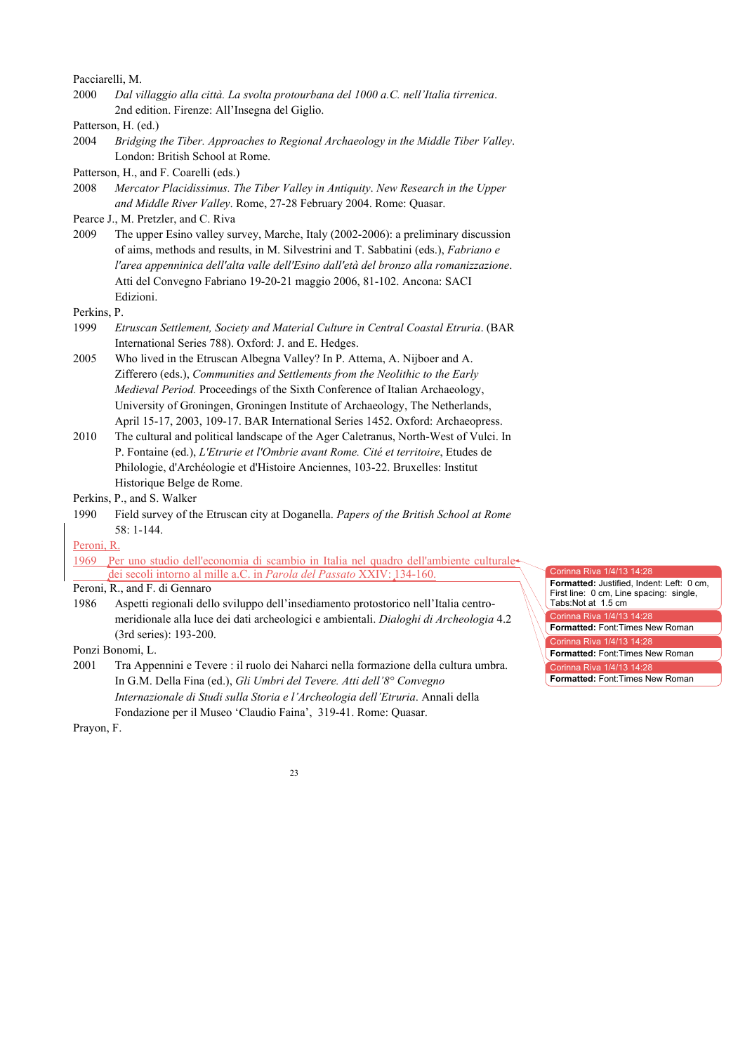Pacciarelli, M.

2000 *Dal villaggio alla città. La svolta protourbana del 1000 a.C. nell'Italia tirrenica*. 2nd edition. Firenze: All'Insegna del Giglio.

Patterson, H. (ed.)

2004 *Bridging the Tiber. Approaches to Regional Archaeology in the Middle Tiber Valley*. London: British School at Rome.

Patterson, H., and F. Coarelli (eds.)

2008 *Mercator Placidissimus. The Tiber Valley in Antiquity*. *New Research in the Upper and Middle River Valley*. Rome, 27-28 February 2004. Rome: Quasar.

Pearce J., M. Pretzler, and C. Riva

2009 The upper Esino valley survey, Marche, Italy (2002-2006): a preliminary discussion of aims, methods and results, in M. Silvestrini and T. Sabbatini (eds.), *Fabriano e l'area appenninica dell'alta valle dell'Esino dall'età del bronzo alla romanizzazione*. Atti del Convegno Fabriano 19-20-21 maggio 2006, 81-102. Ancona: SACI Edizioni.

Perkins, P.

- 1999 *Etruscan Settlement, Society and Material Culture in Central Coastal Etruria*. (BAR International Series 788). Oxford: J. and E. Hedges.
- 2005 Who lived in the Etruscan Albegna Valley? In P. Attema, A. Nijboer and A. Zifferero (eds.), *Communities and Settlements from the Neolithic to the Early Medieval Period.* Proceedings of the Sixth Conference of Italian Archaeology, University of Groningen, Groningen Institute of Archaeology, The Netherlands, April 15-17, 2003, 109-17. BAR International Series 1452. Oxford: Archaeopress.
- 2010 The cultural and political landscape of the Ager Caletranus, North-West of Vulci. In P. Fontaine (ed.), *L'Etrurie et l'Ombrie avant Rome. Cité et territoire*, Etudes de Philologie, d'Archéologie et d'Histoire Anciennes, 103-22. Bruxelles: Institut Historique Belge de Rome.

Perkins, P., and S. Walker

1990 Field survey of the Etruscan city at Doganella. *Papers of the British School at Rome* 58: 1-144.

Peroni, R.

1969 Per uno studio dell'economia di scambio in Italia nel quadro dell'ambiente culturale dei secoli intorno al mille a.C. in *Parola del Passato* XXIV: 134-160.

# Peroni, R., and F. di Gennaro

1986 Aspetti regionali dello sviluppo dell'insediamento protostorico nell'Italia centromeridionale alla luce dei dati archeologici e ambientali. *Dialoghi di Archeologia* 4.2 (3rd series): 193-200.

Ponzi Bonomi, L.

2001 Tra Appennini e Tevere : il ruolo dei Naharci nella formazione della cultura umbra. In G.M. Della Fina (ed.), *Gli Umbri del Tevere. Atti dell'8° Convegno Internazionale di Studi sulla Storia e l'Archeologia dell'Etruria*. Annali della Fondazione per il Museo 'Claudio Faina', 319-41. Rome: Quasar.

Corinna Riva 1/4/13 14:28 **Formatted:** Justified, Indent: Left: 0 cm, First line: 0 cm, Line spacing: single, Tabs:Not at 1.5 cm  $\gamma$ rinna Riva 1/4/13 14 $\cdot$ 28 **Formatted:** Font:Times New Roman Corinna Riva 1/4/13 14:28 **Formatted:** Font:Times New Roman Corinna Riva 1/4/13 14:28 **Formatted:** Font:Times New Roman

Prayon, F.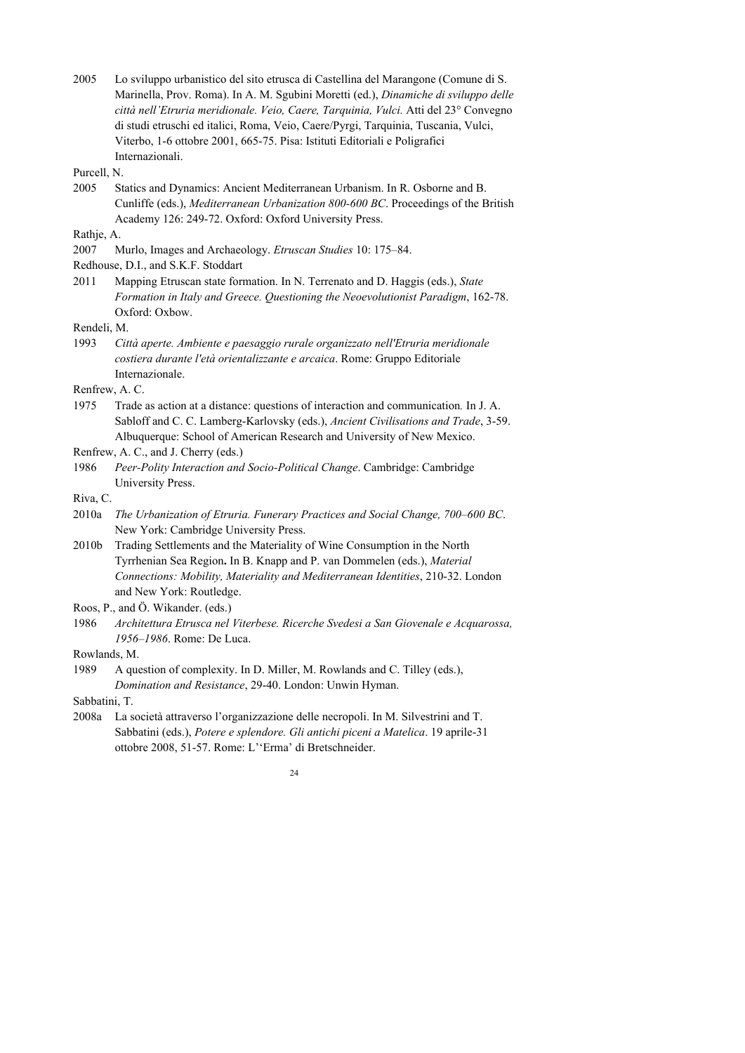2005 Lo sviluppo urbanistico del sito etrusca di Castellina del Marangone (Comune di S. Marinella, Prov. Roma). In A. M. Sgubini Moretti (ed.), *Dinamiche di sviluppo delle città nell'Etruria meridionale. Veio, Caere, Tarquinia, Vulci.* Atti del 23° Convegno di studi etruschi ed italici, Roma, Veio, Caere/Pyrgi, Tarquinia, Tuscania, Vulci, Viterbo, 1-6 ottobre 2001, 665-75. Pisa: Istituti Editoriali e Poligrafici Internazionali.

- Purcell, N.
- 2005 Statics and Dynamics: Ancient Mediterranean Urbanism. In R. Osborne and B. Cunliffe (eds.), *Mediterranean Urbanization 800-600 BC*. Proceedings of the British Academy 126: 249-72. Oxford: Oxford University Press.

#### Rathje, A.

2007 Murlo, Images and Archaeology. *Etruscan Studies* 10: 175–84.

2011 Mapping Etruscan state formation. In N. Terrenato and D. Haggis (eds.), *State Formation in Italy and Greece. Questioning the Neoevolutionist Paradigm*, 162-78. Oxford: Oxbow.

Rendeli, M.

1993 *Città aperte. Ambiente e paesaggio rurale organizzato nell'Etruria meridionale costiera durante l'età orientalizzante e arcaica*. Rome: Gruppo Editoriale Internazionale.

Renfrew, A. C.

1975 Trade as action at a distance: questions of interaction and communication*.* In J. A. Sabloff and C. C. Lamberg-Karlovsky (eds.), *Ancient Civilisations and Trade*, 3-59. Albuquerque: School of American Research and University of New Mexico.

Renfrew, A. C., and J. Cherry (eds.)

1986 *Peer-Polity Interaction and Socio-Political Change*. Cambridge: Cambridge University Press.

Riva, C.

- 2010a *The Urbanization of Etruria. Funerary Practices and Social Change, 700–600 BC*. New York: Cambridge University Press.
- 2010b Trading Settlements and the Materiality of Wine Consumption in the North Tyrrhenian Sea Region**.** In B. Knapp and P. van Dommelen (eds.), *Material Connections: Mobility, Materiality and Mediterranean Identities*, 210-32. London and New York: Routledge.

Roos, P., and Ö. Wikander. (eds.)

1986 *Architettura Etrusca nel Viterbese. Ricerche Svedesi a San Giovenale e Acquarossa, 1956–1986*. Rome: De Luca.

Rowlands, M.

Sabbatini, T.

2008a La società attraverso l'organizzazione delle necropoli. In M. Silvestrini and T. Sabbatini (eds.), *Potere e splendore. Gli antichi piceni a Matelica*. 19 aprile-31 ottobre 2008, 51-57. Rome: L''Erma' di Bretschneider.

Redhouse, D.I., and S.K.F. Stoddart

<sup>1989</sup> A question of complexity. In D. Miller, M. Rowlands and C. Tilley (eds.), *Domination and Resistance*, 29-40. London: Unwin Hyman.

 $24$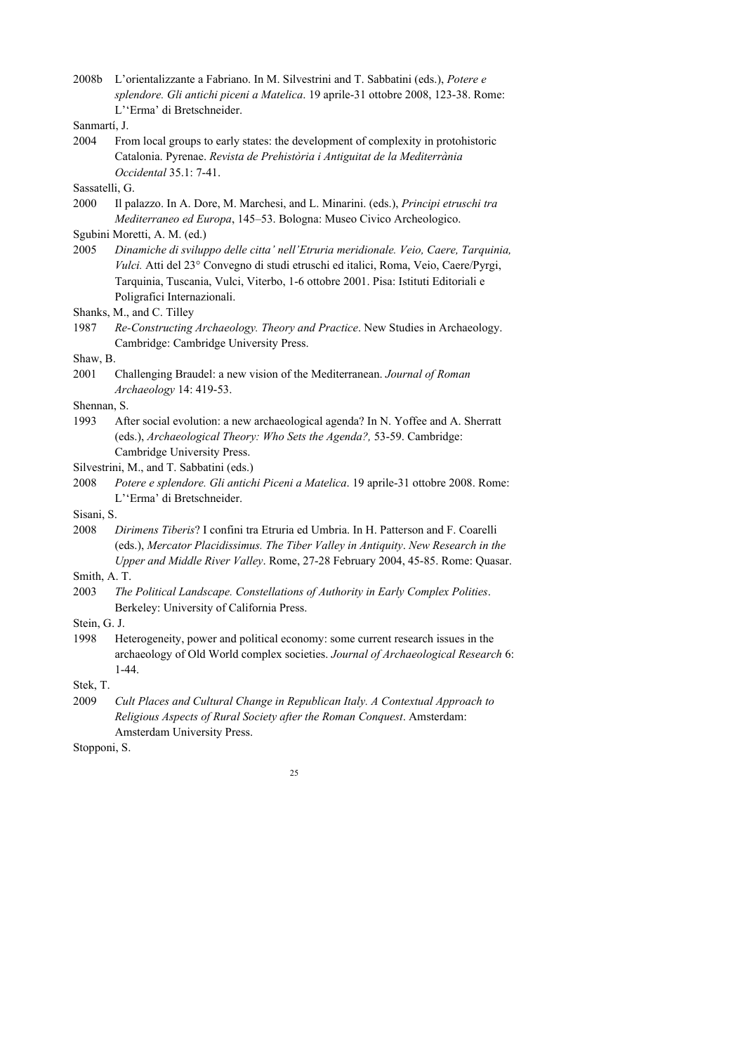2008b L'orientalizzante a Fabriano. In M. Silvestrini and T. Sabbatini (eds.), *Potere e splendore. Gli antichi piceni a Matelica*. 19 aprile-31 ottobre 2008, 123-38. Rome: L''Erma' di Bretschneider.

2004 From local groups to early states: the development of complexity in protohistoric Catalonia. Pyrenae. *Revista de Prehistòria i Antiguitat de la Mediterrània Occidental* 35.1: 7-41.

Sassatelli, G.

2000 Il palazzo. In A. Dore, M. Marchesi, and L. Minarini. (eds.), *Principi etruschi tra Mediterraneo ed Europa*, 145–53. Bologna: Museo Civico Archeologico.

2005 *Dinamiche di sviluppo delle citta' nell'Etruria meridionale. Veio, Caere, Tarquinia, Vulci.* Atti del 23° Convegno di studi etruschi ed italici, Roma, Veio, Caere/Pyrgi, Tarquinia, Tuscania, Vulci, Viterbo, 1-6 ottobre 2001. Pisa: Istituti Editoriali e Poligrafici Internazionali.

Shanks, M., and C. Tilley

1987 *Re-Constructing Archaeology. Theory and Practice*. New Studies in Archaeology. Cambridge: Cambridge University Press.

### Shaw, B.

Shennan, S.

1993 After social evolution: a new archaeological agenda? In N. Yoffee and A. Sherratt (eds.), *Archaeological Theory: Who Sets the Agenda?,* 53-59. Cambridge: Cambridge University Press.

2008 *Potere e splendore. Gli antichi Piceni a Matelica*. 19 aprile-31 ottobre 2008. Rome: L''Erma' di Bretschneider.

Sisani, S.

2008 *Dirimens Tiberis*? I confini tra Etruria ed Umbria. In H. Patterson and F. Coarelli (eds.), *Mercator Placidissimus. The Tiber Valley in Antiquity*. *New Research in the Upper and Middle River Valley*. Rome, 27-28 February 2004, 45-85. Rome: Quasar.

Smith, A. T.

- 2003 *The Political Landscape. Constellations of Authority in Early Complex Polities*. Berkeley: University of California Press.
- Stein, G. J.
- 1998 Heterogeneity, power and political economy: some current research issues in the archaeology of Old World complex societies. *Journal of Archaeological Research* 6: 1-44.
- Stek, T.
- 2009 *Cult Places and Cultural Change in Republican Italy. A Contextual Approach to Religious Aspects of Rural Society after the Roman Conquest*. Amsterdam: Amsterdam University Press.

Stopponi, S.

Sanmartí, J.

Sgubini Moretti, A. M. (ed.)

<sup>2001</sup> Challenging Braudel: a new vision of the Mediterranean. *Journal of Roman Archaeology* 14: 419-53.

Silvestrini, M., and T. Sabbatini (eds.)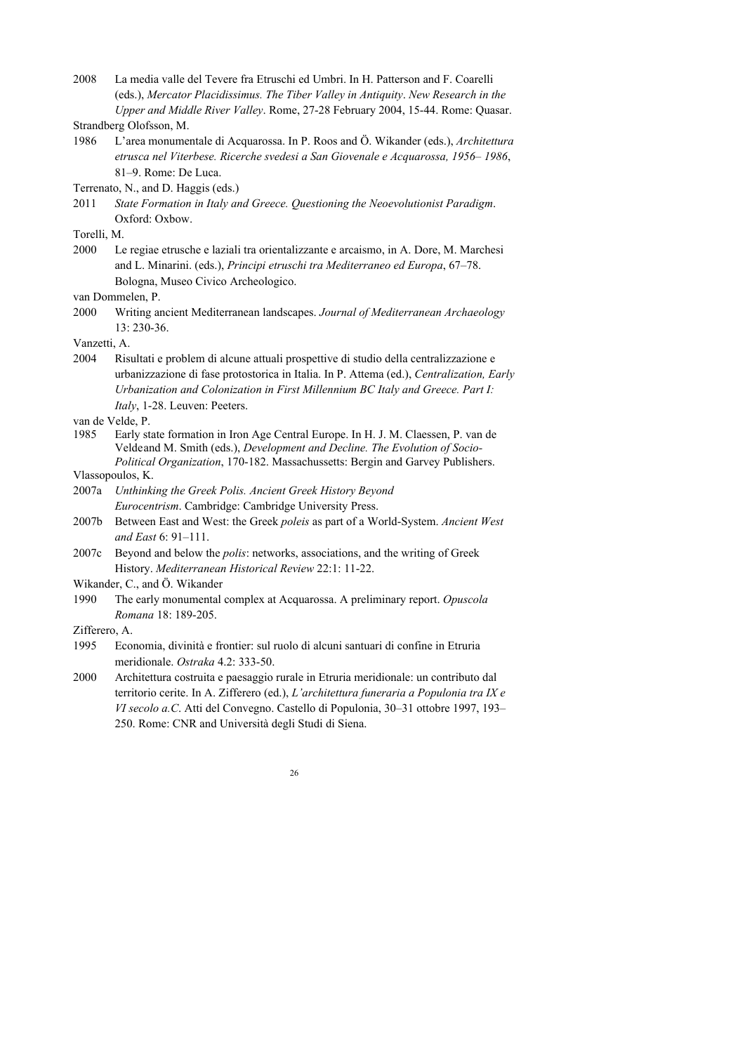2008 La media valle del Tevere fra Etruschi ed Umbri. In H. Patterson and F. Coarelli (eds.), *Mercator Placidissimus. The Tiber Valley in Antiquity*. *New Research in the Upper and Middle River Valley*. Rome, 27-28 February 2004, 15-44. Rome: Quasar.

1986 L'area monumentale di Acquarossa. In P. Roos and Ö. Wikander (eds.), *Architettura etrusca nel Viterbese. Ricerche svedesi a San Giovenale e Acquarossa, 1956– 1986*, 81–9. Rome: De Luca.

Terrenato, N., and D. Haggis (eds.)

Torelli, M.

2000 Le regiae etrusche e laziali tra orientalizzante e arcaismo, in A. Dore, M. Marchesi and L. Minarini. (eds.), *Principi etruschi tra Mediterraneo ed Europa*, 67–78. Bologna, Museo Civico Archeologico.

van Dommelen, P.

2000 Writing ancient Mediterranean landscapes. *Journal of Mediterranean Archaeology*  13: 230-36.

Vanzetti, A.

2004 Risultati e problem di alcune attuali prospettive di studio della centralizzazione e urbanizzazione di fase protostorica in Italia. In P. Attema (ed.), *Centralization, Early Urbanization and Colonization in First Millennium BC Italy and Greece. Part I: Italy*, 1-28. Leuven: Peeters.

van de Velde, P.

1985 Early state formation in Iron Age Central Europe. In H. J. M. Claessen, P. van de Veldeand M. Smith (eds.), *Development and Decline. The Evolution of Socio-Political Organization*, 170-182. Massachussetts: Bergin and Garvey Publishers.

Vlassopoulos, K.

- 2007a *Unthinking the Greek Polis. Ancient Greek History Beyond Eurocentrism*. Cambridge: Cambridge University Press.
- 2007b Between East and West: the Greek *poleis* as part of a World-System. *Ancient West and East* 6: 91–111.
- 2007c Beyond and below the *polis*: networks, associations, and the writing of Greek History. *Mediterranean Historical Review* 22:1: 11-22.

Wikander, C., and Ö. Wikander

1990 The early monumental complex at Acquarossa. A preliminary report. *Opuscola Romana* 18: 189-205.

Zifferero, A.

- 1995 Economia, divinità e frontier: sul ruolo di alcuni santuari di confine in Etruria meridionale. *Ostraka* 4.2: 333-50.
- 2000 Architettura costruita e paesaggio rurale in Etruria meridionale: un contributo dal territorio cerite. In A. Zifferero (ed.), *L'architettura funeraria a Populonia tra IX e VI secolo a.C*. Atti del Convegno. Castello di Populonia, 30–31 ottobre 1997, 193– 250. Rome: CNR and Università degli Studi di Siena.

Strandberg Olofsson, M.

<sup>2011</sup> *State Formation in Italy and Greece. Questioning the Neoevolutionist Paradigm*. Oxford: Oxbow.